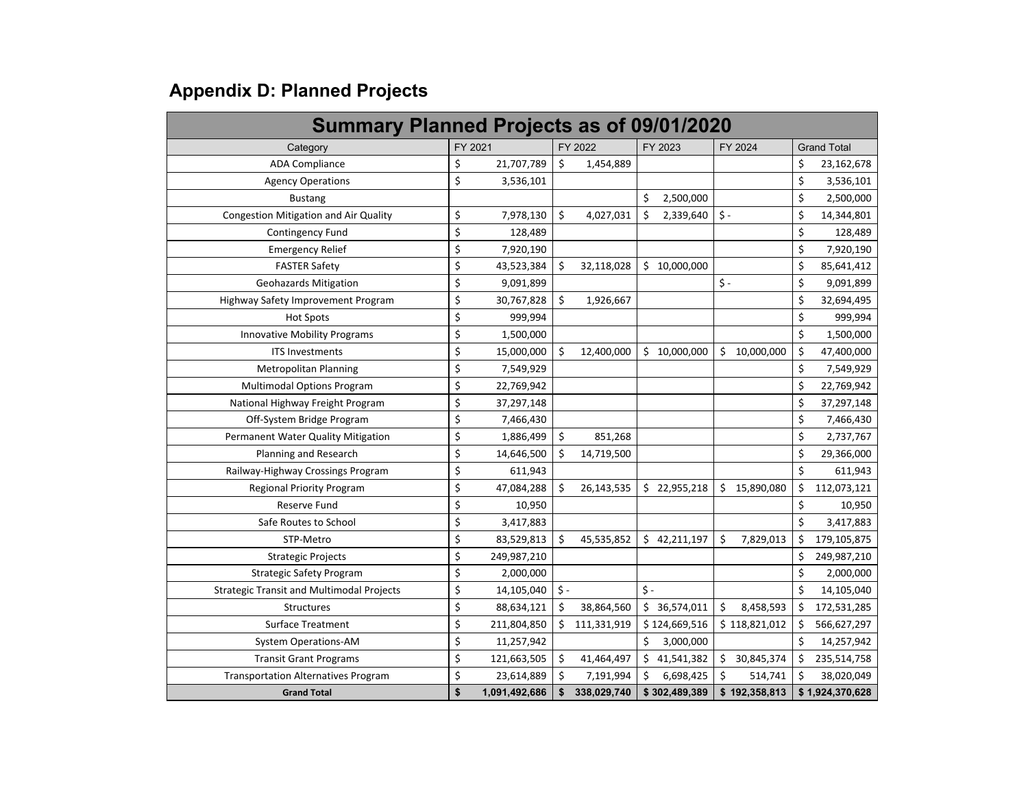## **Appendix D: Planned Projects**

| <b>Summary Planned Projects as of 09/01/2020</b> |    |               |           |             |     |               |           |               |         |                    |
|--------------------------------------------------|----|---------------|-----------|-------------|-----|---------------|-----------|---------------|---------|--------------------|
| Category                                         |    | FY 2021       |           | FY 2022     |     | FY 2023       |           | FY 2024       |         | <b>Grand Total</b> |
| <b>ADA Compliance</b>                            | \$ | 21,707,789    | \$        | 1,454,889   |     |               |           |               | \$      | 23,162,678         |
| <b>Agency Operations</b>                         | \$ | 3,536,101     |           |             |     |               |           |               | \$      | 3,536,101          |
| <b>Bustang</b>                                   |    |               |           |             | \$  | 2,500,000     |           |               | \$      | 2,500,000          |
| Congestion Mitigation and Air Quality            | \$ | 7,978,130     | \$        | 4,027,031   | \$  | 2,339,640     | $\zeta$ - |               | \$      | 14,344,801         |
| <b>Contingency Fund</b>                          | \$ | 128,489       |           |             |     |               |           |               | \$      | 128,489            |
| <b>Emergency Relief</b>                          | \$ | 7,920,190     |           |             |     |               |           |               | \$      | 7,920,190          |
| <b>FASTER Safety</b>                             | \$ | 43,523,384    | \$        | 32,118,028  |     | \$10,000,000  |           |               | \$      | 85,641,412         |
| <b>Geohazards Mitigation</b>                     | \$ | 9,091,899     |           |             |     |               | $\zeta$ - |               | \$      | 9,091,899          |
| Highway Safety Improvement Program               | \$ | 30,767,828    | \$        | 1,926,667   |     |               |           |               | \$      | 32,694,495         |
| <b>Hot Spots</b>                                 | \$ | 999,994       |           |             |     |               |           |               | \$      | 999,994            |
| Innovative Mobility Programs                     | \$ | 1,500,000     |           |             |     |               |           |               | \$      | 1,500,000          |
| <b>ITS Investments</b>                           | \$ | 15,000,000    | \$        | 12,400,000  |     | \$10,000,000  | \$        | 10,000,000    | \$      | 47,400,000         |
| <b>Metropolitan Planning</b>                     | \$ | 7,549,929     |           |             |     |               |           |               | \$      | 7,549,929          |
| <b>Multimodal Options Program</b>                | \$ | 22,769,942    |           |             |     |               |           |               | \$      | 22,769,942         |
| National Highway Freight Program                 | \$ | 37,297,148    |           |             |     |               |           |               | \$      | 37,297,148         |
| Off-System Bridge Program                        | \$ | 7,466,430     |           |             |     |               |           |               | \$      | 7,466,430          |
| Permanent Water Quality Mitigation               | \$ | 1,886,499     | \$        | 851,268     |     |               |           |               | \$      | 2,737,767          |
| Planning and Research                            | \$ | 14,646,500    | \$        | 14,719,500  |     |               |           |               | \$      | 29,366,000         |
| Railway-Highway Crossings Program                | \$ | 611,943       |           |             |     |               |           |               | $\zeta$ | 611,943            |
| <b>Regional Priority Program</b>                 | \$ | 47,084,288    | \$        | 26,143,535  |     | \$22,955,218  | \$        | 15,890,080    | \$      | 112,073,121        |
| Reserve Fund                                     | \$ | 10,950        |           |             |     |               |           |               | \$      | 10,950             |
| Safe Routes to School                            | \$ | 3,417,883     |           |             |     |               |           |               | Ś.      | 3,417,883          |
| STP-Metro                                        | \$ | 83,529,813    | \$        | 45,535,852  |     | \$42,211,197  | $\zeta$   | 7,829,013     | \$      | 179,105,875        |
| <b>Strategic Projects</b>                        | \$ | 249,987,210   |           |             |     |               |           |               | \$      | 249,987,210        |
| <b>Strategic Safety Program</b>                  | \$ | 2,000,000     |           |             |     |               |           |               | \$      | 2,000,000          |
| <b>Strategic Transit and Multimodal Projects</b> | \$ | 14,105,040    | $\zeta$ - |             | Ś - |               |           |               | \$      | 14,105,040         |
| Structures                                       | \$ | 88,634,121    | \$        | 38,864,560  |     | \$36,574,011  | \$        | 8,458,593     | \$      | 172,531,285        |
| <b>Surface Treatment</b>                         | \$ | 211,804,850   | Ś         | 111,331,919 |     | \$124,669,516 |           | \$118,821,012 |         | 566,627,297        |
| System Operations-AM                             | \$ | 11,257,942    |           |             |     | 3,000,000     |           |               | \$      | 14,257,942         |
| <b>Transit Grant Programs</b>                    | \$ | 121,663,505   | \$        | 41,464,497  | Ś.  | 41,541,382    | \$        | 30,845,374    | \$      | 235,514,758        |
| <b>Transportation Alternatives Program</b>       | \$ | 23,614,889    | \$        | 7,191,994   | \$  | 6,698,425     | \$        | 514,741       | \$      | 38,020,049         |
| <b>Grand Total</b>                               | \$ | 1,091,492,686 | \$        | 338,029,740 |     | \$302,489,389 |           | \$192,358,813 |         | \$1,924,370,628    |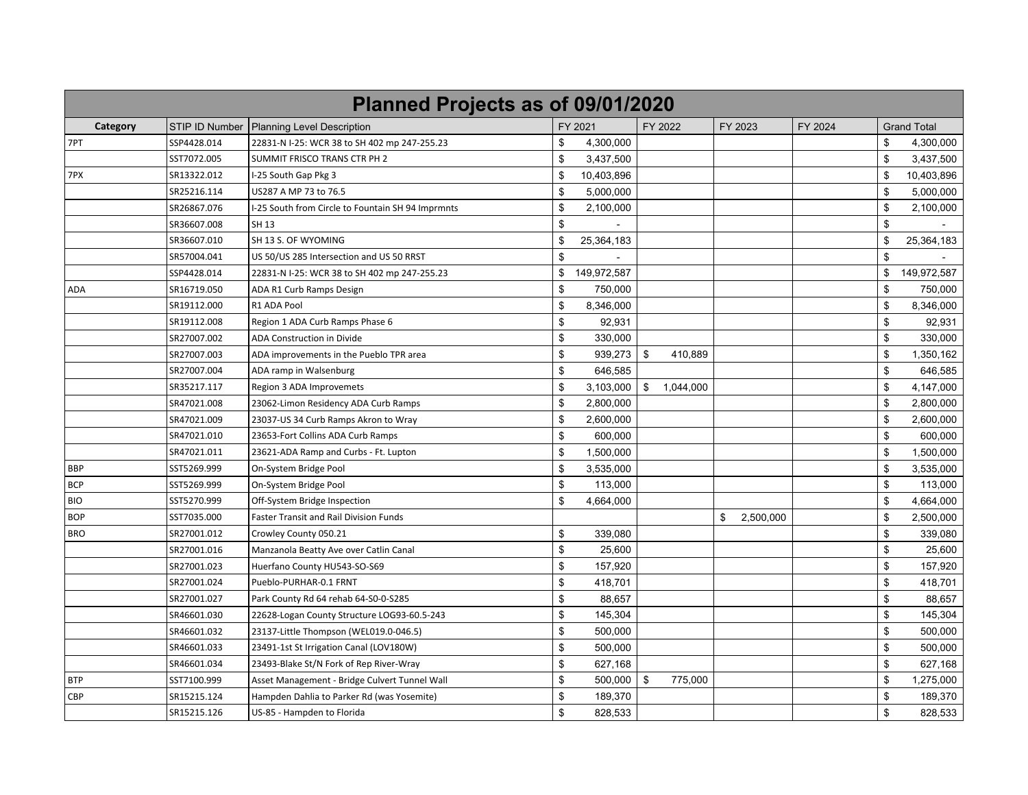| Planned Projects as of 09/01/2020 |                |                                                   |                |             |                 |                 |         |                |                    |  |  |
|-----------------------------------|----------------|---------------------------------------------------|----------------|-------------|-----------------|-----------------|---------|----------------|--------------------|--|--|
| Category                          | STIP ID Number | <b>Planning Level Description</b>                 |                | FY 2021     | FY 2022         | FY 2023         | FY 2024 |                | <b>Grand Total</b> |  |  |
| 7PT                               | SSP4428.014    | 22831-N I-25: WCR 38 to SH 402 mp 247-255.23      | \$             | 4,300,000   |                 |                 |         | \$             | 4,300,000          |  |  |
|                                   | SST7072.005    | SUMMIT FRISCO TRANS CTR PH 2                      | \$             | 3,437,500   |                 |                 |         | \$             | 3,437,500          |  |  |
| 7PX                               | SR13322.012    | I-25 South Gap Pkg 3                              | \$             | 10,403,896  |                 |                 |         | \$             | 10,403,896         |  |  |
|                                   | SR25216.114    | US287 A MP 73 to 76.5                             | \$             | 5,000,000   |                 |                 |         | \$             | 5,000,000          |  |  |
|                                   | SR26867.076    | I-25 South from Circle to Fountain SH 94 Imprmnts | \$             | 2,100,000   |                 |                 |         | \$             | 2,100,000          |  |  |
|                                   | SR36607.008    | SH 13                                             | \$             |             |                 |                 |         | \$             |                    |  |  |
|                                   | SR36607.010    | SH 13 S. OF WYOMING                               | \$             | 25,364,183  |                 |                 |         | \$             | 25,364,183         |  |  |
|                                   | SR57004.041    | US 50/US 285 Intersection and US 50 RRST          | \$             |             |                 |                 |         | \$             |                    |  |  |
|                                   | SSP4428.014    | 22831-N I-25: WCR 38 to SH 402 mp 247-255.23      | \$             | 149,972,587 |                 |                 |         | \$             | 149,972,587        |  |  |
| ADA                               | SR16719.050    | ADA R1 Curb Ramps Design                          | \$             | 750,000     |                 |                 |         | \$             | 750,000            |  |  |
|                                   | SR19112.000    | R1 ADA Pool                                       | $\mathfrak{S}$ | 8,346,000   |                 |                 |         | $\mathfrak{s}$ | 8,346,000          |  |  |
|                                   | SR19112.008    | Region 1 ADA Curb Ramps Phase 6                   | \$             | 92,931      |                 |                 |         | $\mathfrak{s}$ | 92,931             |  |  |
|                                   | SR27007.002    | ADA Construction in Divide                        | \$             | 330,000     |                 |                 |         | \$             | 330,000            |  |  |
|                                   | SR27007.003    | ADA improvements in the Pueblo TPR area           | \$             | 939,273     | \$<br>410,889   |                 |         | \$             | 1,350,162          |  |  |
|                                   | SR27007.004    | ADA ramp in Walsenburg                            | \$             | 646,585     |                 |                 |         | \$             | 646,585            |  |  |
|                                   | SR35217.117    | Region 3 ADA Improvemets                          | \$             | 3,103,000   | \$<br>1,044,000 |                 |         | $\mathfrak{s}$ | 4,147,000          |  |  |
|                                   | SR47021.008    | 23062-Limon Residency ADA Curb Ramps              | $\mathfrak{S}$ | 2,800,000   |                 |                 |         | \$             | 2,800,000          |  |  |
|                                   | SR47021.009    | 23037-US 34 Curb Ramps Akron to Wray              | \$             | 2,600,000   |                 |                 |         | $\mathfrak{s}$ | 2,600,000          |  |  |
|                                   | SR47021.010    | 23653-Fort Collins ADA Curb Ramps                 | \$             | 600,000     |                 |                 |         | \$             | 600,000            |  |  |
|                                   | SR47021.011    | 23621-ADA Ramp and Curbs - Ft. Lupton             | \$             | 1,500,000   |                 |                 |         | \$             | 1,500,000          |  |  |
| <b>BBP</b>                        | SST5269.999    | On-System Bridge Pool                             | \$             | 3,535,000   |                 |                 |         | \$             | 3,535,000          |  |  |
| <b>BCP</b>                        | SST5269.999    | On-System Bridge Pool                             | \$             | 113,000     |                 |                 |         | \$             | 113,000            |  |  |
| <b>BIO</b>                        | SST5270.999    | Off-System Bridge Inspection                      | \$             | 4,664,000   |                 |                 |         | \$             | 4,664,000          |  |  |
| <b>BOP</b>                        | SST7035.000    | Faster Transit and Rail Division Funds            |                |             |                 | \$<br>2,500,000 |         | \$             | 2,500,000          |  |  |
| <b>BRO</b>                        | SR27001.012    | Crowley County 050.21                             | \$             | 339,080     |                 |                 |         | \$             | 339,080            |  |  |
|                                   | SR27001.016    | Manzanola Beatty Ave over Catlin Canal            | \$             | 25,600      |                 |                 |         | \$             | 25,600             |  |  |
|                                   | SR27001.023    | Huerfano County HU543-SO-S69                      | \$             | 157,920     |                 |                 |         | $\mathfrak{s}$ | 157,920            |  |  |
|                                   | SR27001.024    | Pueblo-PURHAR-0.1 FRNT                            | \$             | 418,701     |                 |                 |         | \$             | 418,701            |  |  |
|                                   | SR27001.027    | Park County Rd 64 rehab 64-S0-0-S285              | \$             | 88,657      |                 |                 |         | \$             | 88,657             |  |  |
|                                   | SR46601.030    | 22628-Logan County Structure LOG93-60.5-243       | \$             | 145,304     |                 |                 |         | \$             | 145,304            |  |  |
|                                   | SR46601.032    | 23137-Little Thompson (WEL019.0-046.5)            | \$             | 500,000     |                 |                 |         | \$             | 500,000            |  |  |
|                                   | SR46601.033    | 23491-1st St Irrigation Canal (LOV180W)           | $\mathfrak{S}$ | 500,000     |                 |                 |         | \$             | 500,000            |  |  |
|                                   | SR46601.034    | 23493-Blake St/N Fork of Rep River-Wray           | $\mathfrak{S}$ | 627,168     |                 |                 |         | $\mathfrak{s}$ | 627,168            |  |  |
| BTP                               | SST7100.999    | Asset Management - Bridge Culvert Tunnel Wall     | $\mathfrak{S}$ | 500,000     | \$<br>775,000   |                 |         | \$             | 1,275,000          |  |  |
| CBP                               | SR15215.124    | Hampden Dahlia to Parker Rd (was Yosemite)        | \$             | 189,370     |                 |                 |         | $\mathfrak{s}$ | 189,370            |  |  |
|                                   | SR15215.126    | US-85 - Hampden to Florida                        | \$             | 828,533     |                 |                 |         | \$             | 828,533            |  |  |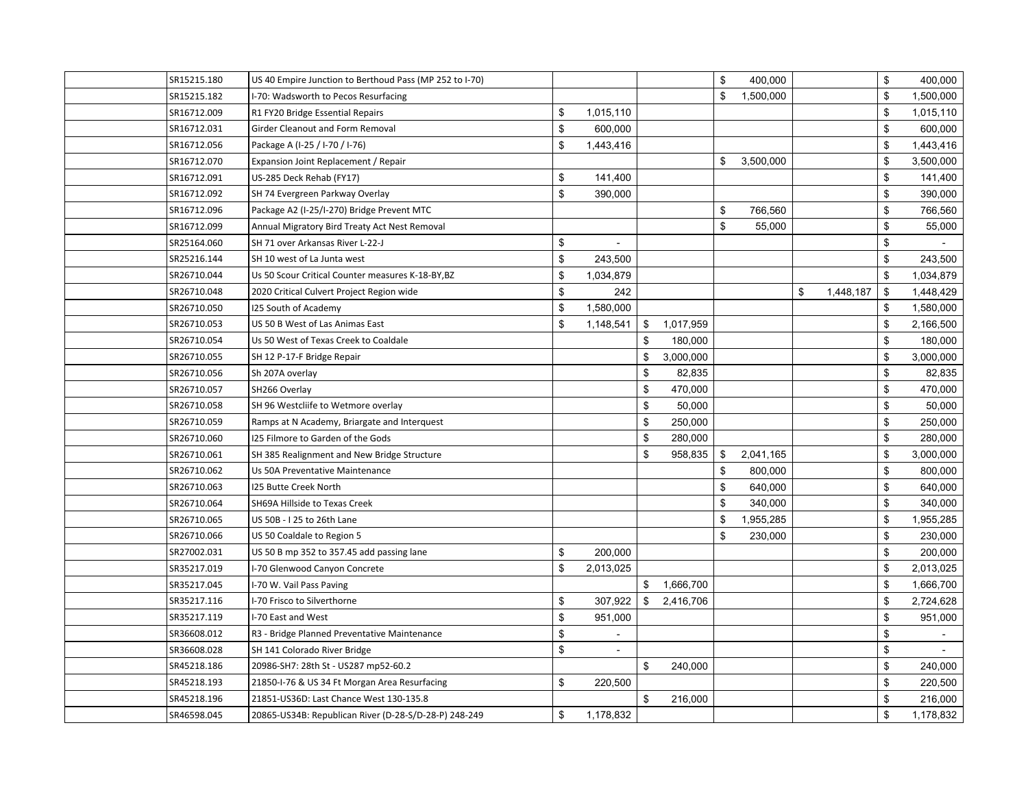| SR15215.180 | US 40 Empire Junction to Berthoud Pass (MP 252 to I-70) |                                |                 | \$<br>400,000   |                 | \$<br>400,000   |
|-------------|---------------------------------------------------------|--------------------------------|-----------------|-----------------|-----------------|-----------------|
| SR15215.182 | I-70: Wadsworth to Pecos Resurfacing                    |                                |                 | \$<br>1,500,000 |                 | \$<br>1,500,000 |
| SR16712.009 | R1 FY20 Bridge Essential Repairs                        | \$<br>1,015,110                |                 |                 |                 | \$<br>1,015,110 |
| SR16712.031 | Girder Cleanout and Form Removal                        | \$<br>600,000                  |                 |                 |                 | \$<br>600,000   |
| SR16712.056 | Package A (I-25 / I-70 / I-76)                          | \$<br>1,443,416                |                 |                 |                 | \$<br>1,443,416 |
| SR16712.070 | Expansion Joint Replacement / Repair                    |                                |                 | \$<br>3,500,000 |                 | \$<br>3,500,000 |
| SR16712.091 | US-285 Deck Rehab (FY17)                                | \$<br>141,400                  |                 |                 |                 | \$<br>141,400   |
| SR16712.092 | SH 74 Evergreen Parkway Overlay                         | \$<br>390,000                  |                 |                 |                 | \$<br>390,000   |
| SR16712.096 | Package A2 (I-25/I-270) Bridge Prevent MTC              |                                |                 | \$<br>766,560   |                 | \$<br>766,560   |
| SR16712.099 | Annual Migratory Bird Treaty Act Nest Removal           |                                |                 | \$<br>55,000    |                 | \$<br>55,000    |
| SR25164.060 | SH 71 over Arkansas River L-22-J                        | \$<br>$\blacksquare$           |                 |                 |                 | \$              |
| SR25216.144 | SH 10 west of La Junta west                             | \$<br>243,500                  |                 |                 |                 | \$<br>243,500   |
| SR26710.044 | Us 50 Scour Critical Counter measures K-18-BY, BZ       | \$<br>1,034,879                |                 |                 |                 | \$<br>1,034,879 |
| SR26710.048 | 2020 Critical Culvert Project Region wide               | \$<br>242                      |                 |                 | \$<br>1,448,187 | \$<br>1,448,429 |
| SR26710.050 | 125 South of Academy                                    | \$<br>1,580,000                |                 |                 |                 | \$<br>1,580,000 |
| SR26710.053 | US 50 B West of Las Animas East                         | \$<br>1,148,541                | \$<br>1,017,959 |                 |                 | \$<br>2,166,500 |
| SR26710.054 | Us 50 West of Texas Creek to Coaldale                   |                                | \$<br>180,000   |                 |                 | \$<br>180,000   |
| SR26710.055 | SH 12 P-17-F Bridge Repair                              |                                | \$<br>3,000,000 |                 |                 | \$<br>3,000,000 |
| SR26710.056 | Sh 207A overlay                                         |                                | \$<br>82,835    |                 |                 | \$<br>82,835    |
| SR26710.057 | SH266 Overlay                                           |                                | \$<br>470,000   |                 |                 | \$<br>470,000   |
| SR26710.058 | SH 96 Westcliife to Wetmore overlay                     |                                | \$<br>50,000    |                 |                 | \$<br>50,000    |
| SR26710.059 | Ramps at N Academy, Briargate and Interquest            |                                | \$<br>250,000   |                 |                 | \$<br>250,000   |
| SR26710.060 | I25 Filmore to Garden of the Gods                       |                                | \$<br>280,000   |                 |                 | \$<br>280,000   |
| SR26710.061 | SH 385 Realignment and New Bridge Structure             |                                | \$<br>958,835   | \$<br>2,041,165 |                 | \$<br>3,000,000 |
| SR26710.062 | Us 50A Preventative Maintenance                         |                                |                 | \$<br>800,000   |                 | \$<br>800,000   |
| SR26710.063 | I25 Butte Creek North                                   |                                |                 | \$<br>640,000   |                 | \$<br>640,000   |
| SR26710.064 | SH69A Hillside to Texas Creek                           |                                |                 | \$<br>340,000   |                 | \$<br>340,000   |
| SR26710.065 | US 50B - I 25 to 26th Lane                              |                                |                 | \$<br>1,955,285 |                 | \$<br>1,955,285 |
| SR26710.066 | US 50 Coaldale to Region 5                              |                                |                 | \$<br>230,000   |                 | \$<br>230,000   |
| SR27002.031 | US 50 B mp 352 to 357.45 add passing lane               | \$<br>200,000                  |                 |                 |                 | \$<br>200,000   |
| SR35217.019 | I-70 Glenwood Canyon Concrete                           | \$<br>2,013,025                |                 |                 |                 | \$<br>2,013,025 |
| SR35217.045 | I-70 W. Vail Pass Paving                                |                                | \$<br>1,666,700 |                 |                 | \$<br>1,666,700 |
| SR35217.116 | I-70 Frisco to Silverthorne                             | \$<br>307,922                  | \$<br>2,416,706 |                 |                 | \$<br>2,724,628 |
| SR35217.119 | I-70 East and West                                      | \$<br>951,000                  |                 |                 |                 | \$<br>951,000   |
| SR36608.012 | R3 - Bridge Planned Preventative Maintenance            | \$<br>$\blacksquare$           |                 |                 |                 | \$<br>$\sim$    |
| SR36608.028 | SH 141 Colorado River Bridge                            | \$<br>$\overline{\phantom{a}}$ |                 |                 |                 | \$<br>$\sim$    |
| SR45218.186 | 20986-SH7: 28th St - US287 mp52-60.2                    |                                | \$<br>240,000   |                 |                 | \$<br>240,000   |
| SR45218.193 | 21850-I-76 & US 34 Ft Morgan Area Resurfacing           | \$<br>220,500                  |                 |                 |                 | \$<br>220,500   |
| SR45218.196 | 21851-US36D: Last Chance West 130-135.8                 |                                | \$<br>216,000   |                 |                 | \$<br>216,000   |
| SR46598.045 | 20865-US34B: Republican River (D-28-S/D-28-P) 248-249   | \$<br>1,178,832                |                 |                 |                 | \$<br>1,178,832 |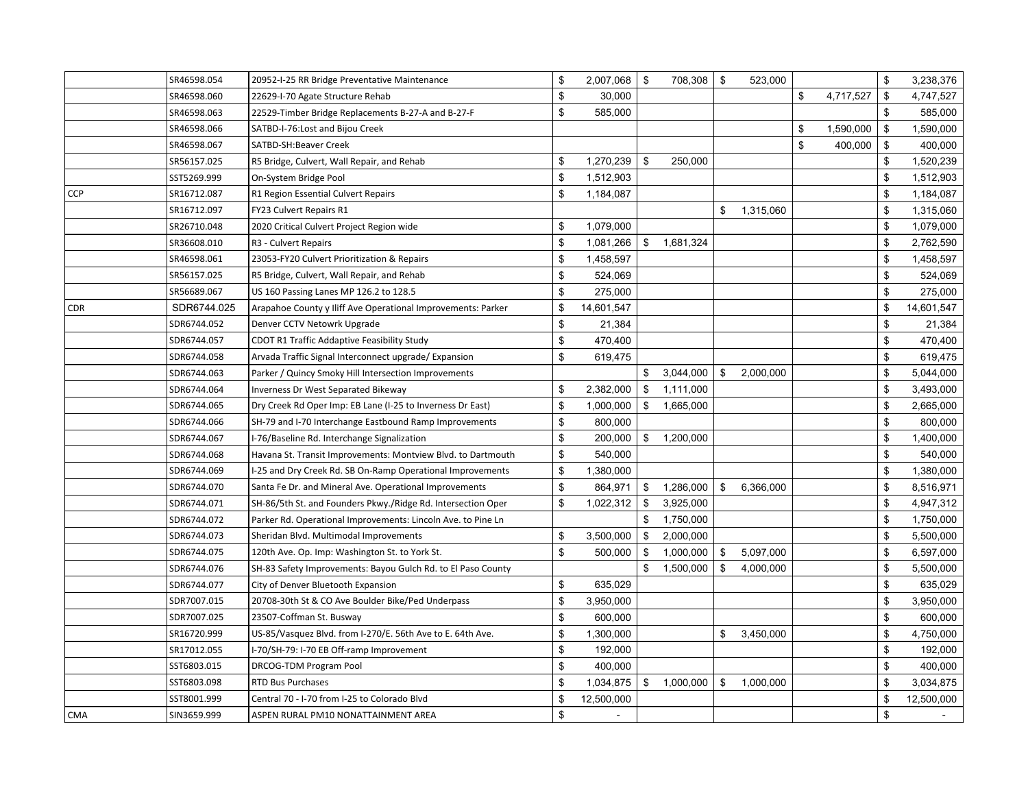|            | SR46598.054 | 20952-I-25 RR Bridge Preventative Maintenance                | \$<br>2,007,068  | $\sqrt{3}$ | 708,308   | $\boldsymbol{\mathsf{S}}$ | 523,000   |                 | \$             | 3,238,376  |
|------------|-------------|--------------------------------------------------------------|------------------|------------|-----------|---------------------------|-----------|-----------------|----------------|------------|
|            | SR46598.060 | 22629-I-70 Agate Structure Rehab                             | \$<br>30,000     |            |           |                           |           | \$<br>4,717,527 | \$             | 4,747,527  |
|            | SR46598.063 | 22529-Timber Bridge Replacements B-27-A and B-27-F           | \$<br>585,000    |            |           |                           |           |                 | \$             | 585,000    |
|            | SR46598.066 | SATBD-I-76: Lost and Bijou Creek                             |                  |            |           |                           |           | \$<br>1,590,000 | \$             | 1,590,000  |
|            | SR46598.067 | SATBD-SH:Beaver Creek                                        |                  |            |           |                           |           | \$<br>400,000   | $\mathfrak{F}$ | 400,000    |
|            | SR56157.025 | R5 Bridge, Culvert, Wall Repair, and Rehab                   | \$<br>1,270,239  | \$         | 250,000   |                           |           |                 | \$             | 1,520,239  |
|            | SST5269.999 | On-System Bridge Pool                                        | \$<br>1,512,903  |            |           |                           |           |                 | \$             | 1,512,903  |
| <b>CCP</b> | SR16712.087 | R1 Region Essential Culvert Repairs                          | \$<br>1,184,087  |            |           |                           |           |                 | \$             | 1,184,087  |
|            | SR16712.097 | FY23 Culvert Repairs R1                                      |                  |            |           | \$                        | 1,315,060 |                 | \$             | 1,315,060  |
|            | SR26710.048 | 2020 Critical Culvert Project Region wide                    | \$<br>1,079,000  |            |           |                           |           |                 | \$             | 1,079,000  |
|            | SR36608.010 | R3 - Culvert Repairs                                         | \$<br>1,081,266  | \$         | 1,681,324 |                           |           |                 | \$             | 2,762,590  |
|            | SR46598.061 | 23053-FY20 Culvert Prioritization & Repairs                  | \$<br>1,458,597  |            |           |                           |           |                 | \$             | 1,458,597  |
|            | SR56157.025 | R5 Bridge, Culvert, Wall Repair, and Rehab                   | \$<br>524,069    |            |           |                           |           |                 | \$             | 524,069    |
|            | SR56689.067 | US 160 Passing Lanes MP 126.2 to 128.5                       | \$<br>275,000    |            |           |                           |           |                 | \$             | 275,000    |
| <b>CDR</b> | SDR6744.025 | Arapahoe County y Iliff Ave Operational Improvements: Parker | \$<br>14,601,547 |            |           |                           |           |                 | \$             | 14,601,547 |
|            | SDR6744.052 | Denver CCTV Netowrk Upgrade                                  | \$<br>21,384     |            |           |                           |           |                 | \$             | 21,384     |
|            | SDR6744.057 | CDOT R1 Traffic Addaptive Feasibility Study                  | \$<br>470,400    |            |           |                           |           |                 | \$             | 470,400    |
|            | SDR6744.058 | Arvada Traffic Signal Interconnect upgrade/ Expansion        | \$<br>619,475    |            |           |                           |           |                 | \$             | 619,475    |
|            | SDR6744.063 | Parker / Quincy Smoky Hill Intersection Improvements         |                  |            | 3,044,000 | $\mathbb{S}$              | 2,000,000 |                 | \$             | 5,044,000  |
|            | SDR6744.064 | Inverness Dr West Separated Bikeway                          | \$<br>2,382,000  | - \$       | 1,111,000 |                           |           |                 | \$             | 3,493,000  |
|            | SDR6744.065 | Dry Creek Rd Oper Imp: EB Lane (I-25 to Inverness Dr East)   | \$<br>1,000,000  | \$         | 1,665,000 |                           |           |                 | \$             | 2,665,000  |
|            | SDR6744.066 | SH-79 and I-70 Interchange Eastbound Ramp Improvements       | \$<br>800,000    |            |           |                           |           |                 | \$             | 800,000    |
|            | SDR6744.067 | I-76/Baseline Rd. Interchange Signalization                  | \$<br>200,000    | \$         | 1,200,000 |                           |           |                 | \$             | 1,400,000  |
|            | SDR6744.068 | Havana St. Transit Improvements: Montview Blvd. to Dartmouth | \$<br>540,000    |            |           |                           |           |                 | \$             | 540,000    |
|            | SDR6744.069 | I-25 and Dry Creek Rd. SB On-Ramp Operational Improvements   | \$<br>1,380,000  |            |           |                           |           |                 | \$             | 1,380,000  |
|            | SDR6744.070 | Santa Fe Dr. and Mineral Ave. Operational Improvements       | \$<br>864,971    | \$         | 1,286,000 | \$                        | 6,366,000 |                 | \$             | 8,516,971  |
|            | SDR6744.071 | SH-86/5th St. and Founders Pkwy./Ridge Rd. Intersection Oper | \$<br>1,022,312  | \$         | 3,925,000 |                           |           |                 | \$             | 4,947,312  |
|            | SDR6744.072 | Parker Rd. Operational Improvements: Lincoln Ave. to Pine Ln |                  | \$         | 1,750,000 |                           |           |                 | \$             | 1,750,000  |
|            | SDR6744.073 | Sheridan Blvd. Multimodal Improvements                       | \$<br>3,500,000  | \$         | 2,000,000 |                           |           |                 | \$             | 5,500,000  |
|            | SDR6744.075 | 120th Ave. Op. Imp: Washington St. to York St.               | \$<br>500,000    | \$         | 1,000,000 | \$                        | 5,097,000 |                 | \$             | 6,597,000  |
|            | SDR6744.076 | SH-83 Safety Improvements: Bayou Gulch Rd. to El Paso County |                  | \$         | 1,500,000 | \$                        | 4,000,000 |                 | \$             | 5,500,000  |
|            | SDR6744.077 | City of Denver Bluetooth Expansion                           | \$<br>635,029    |            |           |                           |           |                 | \$             | 635,029    |
|            | SDR7007.015 | 20708-30th St & CO Ave Boulder Bike/Ped Underpass            | \$<br>3,950,000  |            |           |                           |           |                 | \$             | 3,950,000  |
|            | SDR7007.025 | 23507-Coffman St. Busway                                     | \$<br>600,000    |            |           |                           |           |                 | \$             | 600,000    |
|            | SR16720.999 | US-85/Vasquez Blvd. from I-270/E. 56th Ave to E. 64th Ave.   | \$<br>1,300,000  |            |           | \$                        | 3,450,000 |                 | $\mathbb{S}$   | 4,750,000  |
|            | SR17012.055 | I-70/SH-79: I-70 EB Off-ramp Improvement                     | \$<br>192,000    |            |           |                           |           |                 | \$             | 192,000    |
|            | SST6803.015 | DRCOG-TDM Program Pool                                       | \$<br>400,000    |            |           |                           |           |                 | \$             | 400,000    |
|            | SST6803.098 | RTD Bus Purchases                                            | \$<br>1,034,875  | \$         | 1,000,000 | \$                        | 1,000,000 |                 | \$             | 3,034,875  |
|            | SST8001.999 | Central 70 - I-70 from I-25 to Colorado Blvd                 | \$<br>12,500,000 |            |           |                           |           |                 | \$             | 12,500,000 |
| <b>CMA</b> | SIN3659.999 | ASPEN RURAL PM10 NONATTAINMENT AREA                          | \$<br>$\sim$     |            |           |                           |           |                 | \$             | $\sim$     |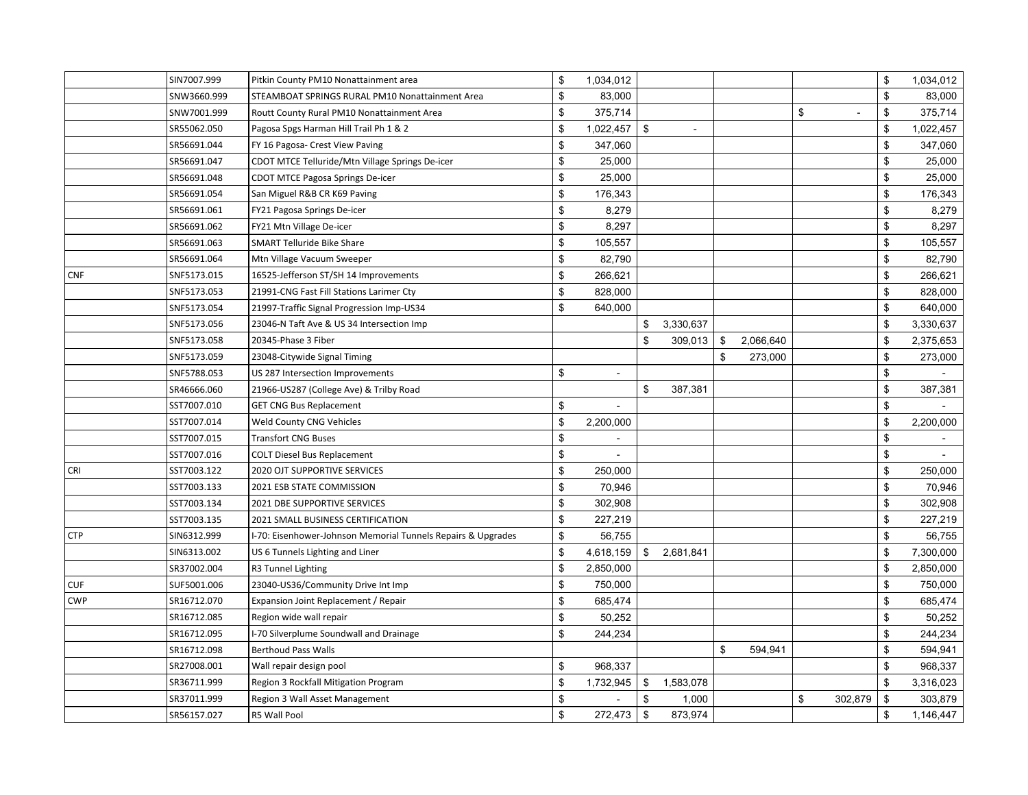|            | SIN7007.999 | Pitkin County PM10 Nonattainment area                        | \$<br>1,034,012      |                                |               |           |               | \$<br>1,034,012 |
|------------|-------------|--------------------------------------------------------------|----------------------|--------------------------------|---------------|-----------|---------------|-----------------|
|            | SNW3660.999 | STEAMBOAT SPRINGS RURAL PM10 Nonattainment Area              | \$<br>83,000         |                                |               |           |               | \$<br>83,000    |
|            | SNW7001.999 | Routt County Rural PM10 Nonattainment Area                   | \$<br>375,714        |                                |               |           | \$<br>$\sim$  | \$<br>375,714   |
|            | SR55062.050 | Pagosa Spgs Harman Hill Trail Ph 1 & 2                       | \$<br>1,022,457      | \$<br>$\overline{\phantom{a}}$ |               |           |               | \$<br>1,022,457 |
|            | SR56691.044 | FY 16 Pagosa- Crest View Paving                              | \$<br>347,060        |                                |               |           |               | \$<br>347,060   |
|            | SR56691.047 | CDOT MTCE Telluride/Mtn Village Springs De-icer              | \$<br>25,000         |                                |               |           |               | \$<br>25,000    |
|            | SR56691.048 | CDOT MTCE Pagosa Springs De-icer                             | \$<br>25,000         |                                |               |           |               | \$<br>25,000    |
|            | SR56691.054 | San Miguel R&B CR K69 Paving                                 | \$<br>176,343        |                                |               |           |               | \$<br>176,343   |
|            | SR56691.061 | FY21 Pagosa Springs De-icer                                  | \$<br>8,279          |                                |               |           |               | \$<br>8,279     |
|            | SR56691.062 | FY21 Mtn Village De-icer                                     | \$<br>8,297          |                                |               |           |               | \$<br>8,297     |
|            | SR56691.063 | <b>SMART Telluride Bike Share</b>                            | \$<br>105,557        |                                |               |           |               | \$<br>105,557   |
|            | SR56691.064 | Mtn Village Vacuum Sweeper                                   | \$<br>82.790         |                                |               |           |               | \$<br>82,790    |
| <b>CNF</b> | SNF5173.015 | 16525-Jefferson ST/SH 14 Improvements                        | \$<br>266,621        |                                |               |           |               | \$<br>266,621   |
|            | SNF5173.053 | 21991-CNG Fast Fill Stations Larimer Cty                     | \$<br>828,000        |                                |               |           |               | \$<br>828,000   |
|            | SNF5173.054 | 21997-Traffic Signal Progression Imp-US34                    | \$<br>640,000        |                                |               |           |               | \$<br>640,000   |
|            | SNF5173.056 | 23046-N Taft Ave & US 34 Intersection Imp                    |                      | \$<br>3,330,637                |               |           |               | \$<br>3,330,637 |
|            | SNF5173.058 | 20345-Phase 3 Fiber                                          |                      | \$<br>309,013                  | \$            | 2,066,640 |               | \$<br>2,375,653 |
|            | SNF5173.059 | 23048-Citywide Signal Timing                                 |                      |                                | \$            | 273,000   |               | \$<br>273,000   |
|            | SNF5788.053 | US 287 Intersection Improvements                             | \$<br>$\mathbf{r}$   |                                |               |           |               | \$              |
|            | SR46666.060 | 21966-US287 (College Ave) & Trilby Road                      |                      | \$<br>387,381                  |               |           |               | \$<br>387,381   |
|            | SST7007.010 | <b>GET CNG Bus Replacement</b>                               | \$<br>$\blacksquare$ |                                |               |           |               | \$              |
|            | SST7007.014 | Weld County CNG Vehicles                                     | \$<br>2,200,000      |                                |               |           |               | \$<br>2,200,000 |
|            | SST7007.015 | <b>Transfort CNG Buses</b>                                   | \$                   |                                |               |           |               | \$              |
|            | SST7007.016 | <b>COLT Diesel Bus Replacement</b>                           | \$                   |                                |               |           |               | \$              |
| <b>CRI</b> | SST7003.122 | 2020 OJT SUPPORTIVE SERVICES                                 | \$<br>250,000        |                                |               |           |               | \$<br>250,000   |
|            | SST7003.133 | 2021 ESB STATE COMMISSION                                    | \$<br>70,946         |                                |               |           |               | \$<br>70,946    |
|            | SST7003.134 | 2021 DBE SUPPORTIVE SERVICES                                 | \$<br>302,908        |                                |               |           |               | \$<br>302,908   |
|            | SST7003.135 | 2021 SMALL BUSINESS CERTIFICATION                            | \$<br>227,219        |                                |               |           |               | \$<br>227,219   |
| <b>CTP</b> | SIN6312.999 | I-70: Eisenhower-Johnson Memorial Tunnels Repairs & Upgrades | \$<br>56,755         |                                |               |           |               | \$<br>56,755    |
|            | SIN6313.002 | US 6 Tunnels Lighting and Liner                              | \$<br>4,618,159      | \$<br>2,681,841                |               |           |               | \$<br>7,300,000 |
|            | SR37002.004 | R3 Tunnel Lighting                                           | \$<br>2,850,000      |                                |               |           |               | \$<br>2,850,000 |
| <b>CUF</b> | SUF5001.006 | 23040-US36/Community Drive Int Imp                           | \$<br>750,000        |                                |               |           |               | \$<br>750,000   |
| <b>CWP</b> | SR16712.070 | Expansion Joint Replacement / Repair                         | \$<br>685,474        |                                |               |           |               | \$<br>685,474   |
|            | SR16712.085 | Region wide wall repair                                      | \$<br>50,252         |                                |               |           |               | \$<br>50,252    |
|            | SR16712.095 | I-70 Silverplume Soundwall and Drainage                      | \$<br>244,234        |                                |               |           |               | \$<br>244,234   |
|            | SR16712.098 | <b>Berthoud Pass Walls</b>                                   |                      |                                | $\sqrt[6]{3}$ | 594,941   |               | \$<br>594,941   |
|            | SR27008.001 | Wall repair design pool                                      | \$<br>968,337        |                                |               |           |               | \$<br>968,337   |
|            | SR36711.999 | Region 3 Rockfall Mitigation Program                         | \$<br>1,732,945      | \$<br>1,583,078                |               |           |               | \$<br>3,316,023 |
|            | SR37011.999 | Region 3 Wall Asset Management                               | \$                   | \$<br>1,000                    |               |           | \$<br>302,879 | \$<br>303,879   |
|            | SR56157.027 | <b>R5 Wall Pool</b>                                          | \$<br>272,473        | \$<br>873,974                  |               |           |               | \$<br>1,146,447 |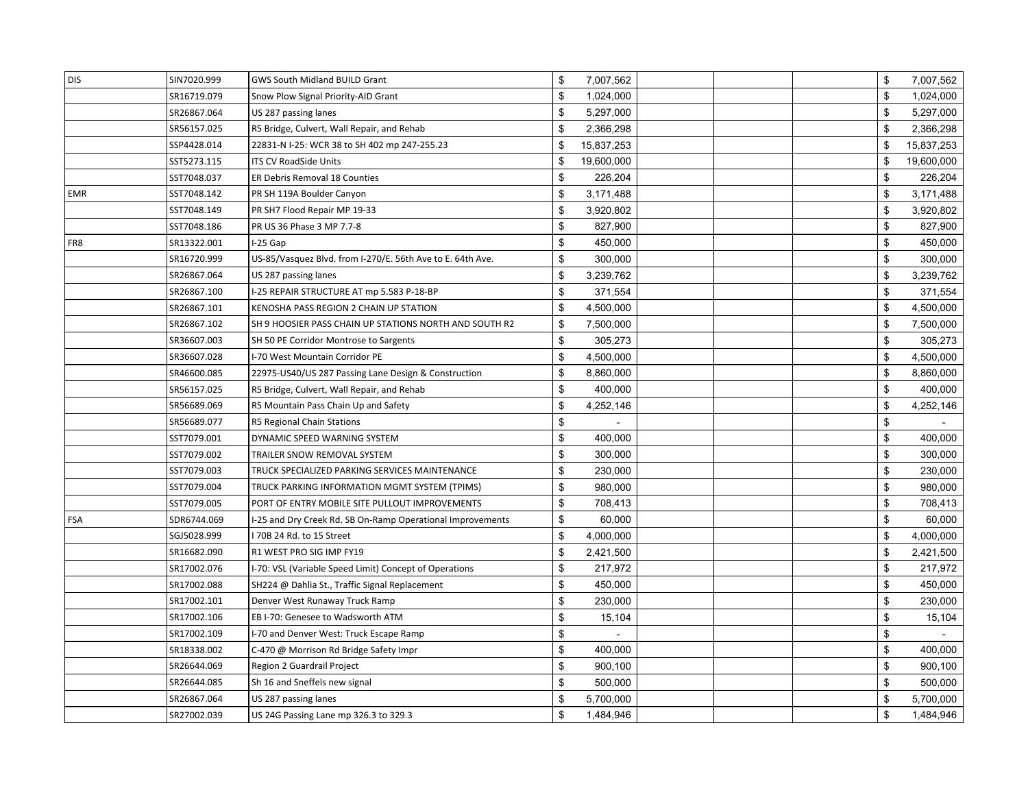| <b>DIS</b> | SIN7020.999 | <b>GWS South Midland BUILD Grant</b>                       | \$<br>7,007,562  |  | \$           | 7,007,562  |
|------------|-------------|------------------------------------------------------------|------------------|--|--------------|------------|
|            | SR16719.079 | Snow Plow Signal Priority-AID Grant                        | \$<br>1,024,000  |  | \$           | 1,024,000  |
|            | SR26867.064 | US 287 passing lanes                                       | \$<br>5,297,000  |  | $\mathbb{S}$ | 5,297,000  |
|            | SR56157.025 | R5 Bridge, Culvert, Wall Repair, and Rehab                 | \$<br>2,366,298  |  | \$           | 2,366,298  |
|            | SSP4428.014 | 22831-N I-25: WCR 38 to SH 402 mp 247-255.23               | \$<br>15,837,253 |  | \$           | 15,837,253 |
|            | SST5273.115 | <b>ITS CV RoadSide Units</b>                               | \$<br>19,600,000 |  | \$           | 19,600,000 |
|            | SST7048.037 | <b>ER Debris Removal 18 Counties</b>                       | \$<br>226,204    |  | \$           | 226,204    |
| EMR        | SST7048.142 | PR SH 119A Boulder Canyon                                  | \$<br>3,171,488  |  | \$           | 3,171,488  |
|            | SST7048.149 | PR SH7 Flood Repair MP 19-33                               | \$<br>3,920,802  |  | \$           | 3,920,802  |
|            | SST7048.186 | PR US 36 Phase 3 MP 7.7-8                                  | \$<br>827,900    |  | \$           | 827,900    |
| FR8        | SR13322.001 | I-25 Gap                                                   | \$<br>450,000    |  | \$           | 450,000    |
|            | SR16720.999 | US-85/Vasquez Blvd. from I-270/E. 56th Ave to E. 64th Ave. | \$<br>300,000    |  | \$           | 300,000    |
|            | SR26867.064 | US 287 passing lanes                                       | \$<br>3,239,762  |  | \$           | 3,239,762  |
|            | SR26867.100 | I-25 REPAIR STRUCTURE AT mp 5.583 P-18-BP                  | \$<br>371,554    |  | \$           | 371,554    |
|            | SR26867.101 | KENOSHA PASS REGION 2 CHAIN UP STATION                     | \$<br>4,500,000  |  | \$           | 4,500,000  |
|            | SR26867.102 | SH 9 HOOSIER PASS CHAIN UP STATIONS NORTH AND SOUTH R2     | \$<br>7,500,000  |  | \$           | 7,500,000  |
|            | SR36607.003 | SH 50 PE Corridor Montrose to Sargents                     | \$<br>305,273    |  | \$           | 305,273    |
|            | SR36607.028 | I-70 West Mountain Corridor PE                             | \$<br>4,500,000  |  | \$           | 4,500,000  |
|            | SR46600.085 | 22975-US40/US 287 Passing Lane Design & Construction       | \$<br>8,860,000  |  | \$           | 8,860,000  |
|            | SR56157.025 | R5 Bridge, Culvert, Wall Repair, and Rehab                 | \$<br>400,000    |  | \$           | 400,000    |
|            | SR56689.069 | R5 Mountain Pass Chain Up and Safety                       | \$<br>4,252,146  |  | \$           | 4,252,146  |
|            | SR56689.077 | R5 Regional Chain Stations                                 | \$               |  | \$           |            |
|            | SST7079.001 | DYNAMIC SPEED WARNING SYSTEM                               | \$<br>400,000    |  | \$           | 400,000    |
|            | SST7079.002 | TRAILER SNOW REMOVAL SYSTEM                                | \$<br>300,000    |  | \$           | 300,000    |
|            | SST7079.003 | TRUCK SPECIALIZED PARKING SERVICES MAINTENANCE             | \$<br>230,000    |  | \$           | 230,000    |
|            | SST7079.004 | TRUCK PARKING INFORMATION MGMT SYSTEM (TPIMS)              | \$<br>980,000    |  | \$           | 980,000    |
|            | SST7079.005 | PORT OF ENTRY MOBILE SITE PULLOUT IMPROVEMENTS             | \$<br>708,413    |  | \$           | 708,413    |
| FSA        | SDR6744.069 | I-25 and Dry Creek Rd. SB On-Ramp Operational Improvements | \$<br>60,000     |  | \$           | 60,000     |
|            | SGJ5028.999 | 170B 24 Rd. to 15 Street                                   | \$<br>4,000,000  |  | \$           | 4,000,000  |
|            | SR16682.090 | R1 WEST PRO SIG IMP FY19                                   | \$<br>2,421,500  |  | \$           | 2,421,500  |
|            | SR17002.076 | I-70: VSL (Variable Speed Limit) Concept of Operations     | \$<br>217,972    |  | \$           | 217,972    |
|            | SR17002.088 | SH224 @ Dahlia St., Traffic Signal Replacement             | \$<br>450,000    |  | \$           | 450,000    |
|            | SR17002.101 | Denver West Runaway Truck Ramp                             | \$<br>230,000    |  | \$           | 230,000    |
|            | SR17002.106 | EB I-70: Genesee to Wadsworth ATM                          | \$<br>15,104     |  | \$           | 15,104     |
|            | SR17002.109 | I-70 and Denver West: Truck Escape Ramp                    | \$<br>$\sim$     |  | \$           |            |
|            | SR18338.002 | C-470 @ Morrison Rd Bridge Safety Impr                     | \$<br>400,000    |  | \$           | 400,000    |
|            | SR26644.069 | Region 2 Guardrail Project                                 | \$<br>900,100    |  | \$           | 900,100    |
|            | SR26644.085 | Sh 16 and Sneffels new signal                              | \$<br>500,000    |  | \$           | 500,000    |
|            | SR26867.064 | US 287 passing lanes                                       | \$<br>5,700,000  |  | \$           | 5,700,000  |
|            | SR27002.039 | US 24G Passing Lane mp 326.3 to 329.3                      | \$<br>1,484,946  |  | \$           | 1,484,946  |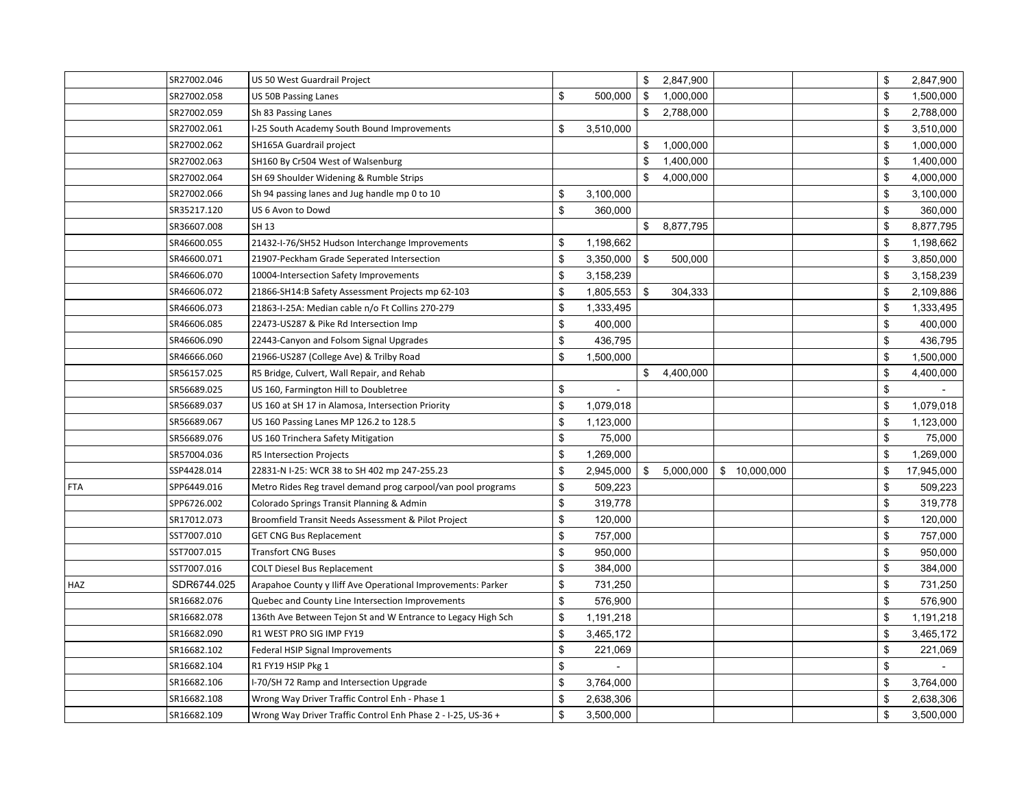|            | SR27002.046 | US 50 West Guardrail Project                                 |                      | \$<br>2,847,900 |               | \$           | 2,847,900  |
|------------|-------------|--------------------------------------------------------------|----------------------|-----------------|---------------|--------------|------------|
|            | SR27002.058 | <b>US 50B Passing Lanes</b>                                  | \$<br>500,000        | \$<br>1,000,000 |               | \$           | 1,500,000  |
|            | SR27002.059 | Sh 83 Passing Lanes                                          |                      | \$<br>2,788,000 |               | \$           | 2,788,000  |
|            | SR27002.061 | I-25 South Academy South Bound Improvements                  | \$<br>3,510,000      |                 |               | \$           | 3,510,000  |
|            | SR27002.062 | SH165A Guardrail project                                     |                      | \$<br>1,000,000 |               | \$           | 1,000,000  |
|            | SR27002.063 | SH160 By Cr504 West of Walsenburg                            |                      | \$<br>1,400,000 |               | \$           | 1,400,000  |
|            | SR27002.064 | SH 69 Shoulder Widening & Rumble Strips                      |                      | \$<br>4,000,000 |               | \$           | 4,000,000  |
|            | SR27002.066 | Sh 94 passing lanes and Jug handle mp 0 to 10                | \$<br>3,100,000      |                 |               | \$           | 3,100,000  |
|            | SR35217.120 | US 6 Avon to Dowd                                            | \$<br>360,000        |                 |               | \$           | 360,000    |
|            | SR36607.008 | SH 13                                                        |                      | \$<br>8,877,795 |               | \$           | 8,877,795  |
|            | SR46600.055 | 21432-I-76/SH52 Hudson Interchange Improvements              | \$<br>1,198,662      |                 |               | \$           | 1,198,662  |
|            | SR46600.071 | 21907-Peckham Grade Seperated Intersection                   | \$<br>3,350,000      | \$<br>500,000   |               | \$           | 3,850,000  |
|            | SR46606.070 | 10004-Intersection Safety Improvements                       | \$<br>3,158,239      |                 |               | \$           | 3,158,239  |
|            | SR46606.072 | 21866-SH14:B Safety Assessment Projects mp 62-103            | \$<br>1,805,553      | \$<br>304,333   |               | \$           | 2,109,886  |
|            | SR46606.073 | 21863-I-25A: Median cable n/o Ft Collins 270-279             | \$<br>1,333,495      |                 |               | \$           | 1,333,495  |
|            | SR46606.085 | 22473-US287 & Pike Rd Intersection Imp                       | \$<br>400,000        |                 |               | \$           | 400,000    |
|            | SR46606.090 | 22443-Canyon and Folsom Signal Upgrades                      | \$<br>436,795        |                 |               | \$           | 436,795    |
|            | SR46666.060 | 21966-US287 (College Ave) & Trilby Road                      | \$<br>1,500,000      |                 |               | \$           | 1,500,000  |
|            | SR56157.025 | R5 Bridge, Culvert, Wall Repair, and Rehab                   |                      | \$<br>4,400,000 |               | \$           | 4,400,000  |
|            | SR56689.025 | US 160, Farmington Hill to Doubletree                        | \$<br>$\blacksquare$ |                 |               | \$           |            |
|            | SR56689.037 | US 160 at SH 17 in Alamosa, Intersection Priority            | \$<br>1,079,018      |                 |               | \$           | 1,079,018  |
|            | SR56689.067 | US 160 Passing Lanes MP 126.2 to 128.5                       | \$<br>1,123,000      |                 |               | \$           | 1,123,000  |
|            | SR56689.076 | US 160 Trinchera Safety Mitigation                           | \$<br>75,000         |                 |               | \$           | 75,000     |
|            | SR57004.036 | R5 Intersection Projects                                     | \$<br>1,269,000      |                 |               | \$           | 1,269,000  |
|            | SSP4428.014 | 22831-N I-25: WCR 38 to SH 402 mp 247-255.23                 | \$<br>2,945,000      | \$<br>5,000,000 | \$ 10,000,000 | \$           | 17,945,000 |
| <b>FTA</b> | SPP6449.016 | Metro Rides Reg travel demand prog carpool/van pool programs | \$<br>509,223        |                 |               | \$           | 509,223    |
|            | SPP6726.002 | Colorado Springs Transit Planning & Admin                    | \$<br>319,778        |                 |               | $\mathbb{S}$ | 319,778    |
|            | SR17012.073 | Broomfield Transit Needs Assessment & Pilot Project          | \$<br>120,000        |                 |               | \$           | 120,000    |
|            | SST7007.010 | <b>GET CNG Bus Replacement</b>                               | \$<br>757,000        |                 |               | \$           | 757,000    |
|            | SST7007.015 | <b>Transfort CNG Buses</b>                                   | \$<br>950,000        |                 |               | \$           | 950,000    |
|            | SST7007.016 | <b>COLT Diesel Bus Replacement</b>                           | \$<br>384,000        |                 |               | \$           | 384,000    |
| HAZ        | SDR6744.025 | Arapahoe County y Iliff Ave Operational Improvements: Parker | \$<br>731,250        |                 |               | \$           | 731,250    |
|            | SR16682.076 | Quebec and County Line Intersection Improvements             | \$<br>576,900        |                 |               | \$           | 576,900    |
|            | SR16682.078 | 136th Ave Between Tejon St and W Entrance to Legacy High Sch | \$<br>1,191,218      |                 |               | \$           | 1,191,218  |
|            | SR16682.090 | R1 WEST PRO SIG IMP FY19                                     | \$<br>3,465,172      |                 |               | \$           | 3,465,172  |
|            | SR16682.102 | Federal HSIP Signal Improvements                             | \$<br>221,069        |                 |               | \$           | 221,069    |
|            | SR16682.104 | R1 FY19 HSIP Pkg 1                                           | \$                   |                 |               | \$           |            |
|            | SR16682.106 | I-70/SH 72 Ramp and Intersection Upgrade                     | \$<br>3,764,000      |                 |               | \$           | 3,764,000  |
|            | SR16682.108 | Wrong Way Driver Traffic Control Enh - Phase 1               | \$<br>2,638,306      |                 |               | \$           | 2,638,306  |
|            | SR16682.109 | Wrong Way Driver Traffic Control Enh Phase 2 - I-25, US-36 + | \$<br>3,500,000      |                 |               | \$           | 3,500,000  |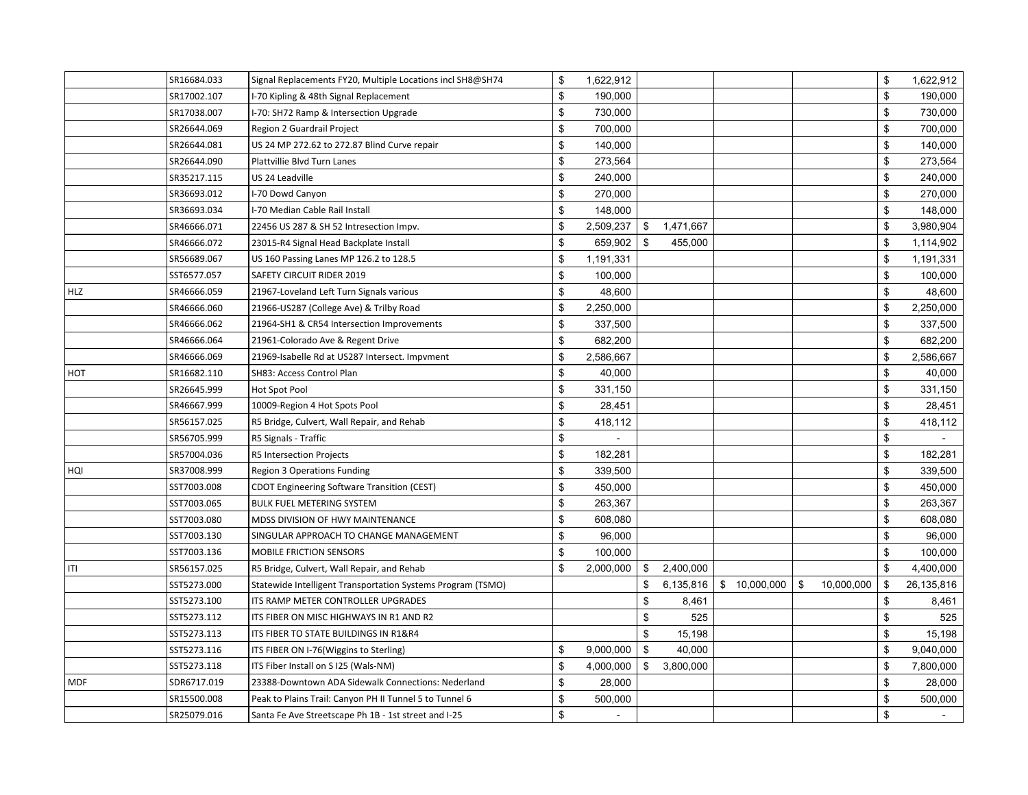|            | SR16684.033 | Signal Replacements FY20, Multiple Locations incl SH8@SH74  | \$<br>1,622,912      |                 |              |    |            | \$<br>1,622,912  |
|------------|-------------|-------------------------------------------------------------|----------------------|-----------------|--------------|----|------------|------------------|
|            | SR17002.107 | I-70 Kipling & 48th Signal Replacement                      | \$<br>190,000        |                 |              |    |            | \$<br>190,000    |
|            | SR17038.007 | I-70: SH72 Ramp & Intersection Upgrade                      | \$<br>730,000        |                 |              |    |            | \$<br>730,000    |
|            | SR26644.069 | Region 2 Guardrail Project                                  | \$<br>700,000        |                 |              |    |            | \$<br>700,000    |
|            | SR26644.081 | US 24 MP 272.62 to 272.87 Blind Curve repair                | \$<br>140,000        |                 |              |    |            | \$<br>140,000    |
|            | SR26644.090 | Plattvillie Blvd Turn Lanes                                 | \$<br>273,564        |                 |              |    |            | \$<br>273,564    |
|            | SR35217.115 | US 24 Leadville                                             | \$<br>240,000        |                 |              |    |            | \$<br>240,000    |
|            | SR36693.012 | I-70 Dowd Canyon                                            | \$<br>270,000        |                 |              |    |            | \$<br>270,000    |
|            | SR36693.034 | I-70 Median Cable Rail Install                              | \$<br>148,000        |                 |              |    |            | \$<br>148,000    |
|            | SR46666.071 | 22456 US 287 & SH 52 Intresection Impv.                     | \$<br>2,509,237      | \$<br>1,471,667 |              |    |            | \$<br>3,980,904  |
|            | SR46666.072 | 23015-R4 Signal Head Backplate Install                      | \$<br>659,902        | \$<br>455,000   |              |    |            | \$<br>1,114,902  |
|            | SR56689.067 | US 160 Passing Lanes MP 126.2 to 128.5                      | \$<br>1,191,331      |                 |              |    |            | \$<br>1,191,331  |
|            | SST6577.057 | SAFETY CIRCUIT RIDER 2019                                   | \$<br>100,000        |                 |              |    |            | \$<br>100,000    |
| <b>HLZ</b> | SR46666.059 | 21967-Loveland Left Turn Signals various                    | \$<br>48,600         |                 |              |    |            | \$<br>48,600     |
|            | SR46666.060 | 21966-US287 (College Ave) & Trilby Road                     | \$<br>2,250,000      |                 |              |    |            | \$<br>2,250,000  |
|            | SR46666.062 | 21964-SH1 & CR54 Intersection Improvements                  | \$<br>337,500        |                 |              |    |            | \$<br>337,500    |
|            | SR46666.064 | 21961-Colorado Ave & Regent Drive                           | \$<br>682,200        |                 |              |    |            | \$<br>682,200    |
|            | SR46666.069 | 21969-Isabelle Rd at US287 Intersect. Impvment              | \$<br>2,586,667      |                 |              |    |            | \$<br>2,586,667  |
| HOT        | SR16682.110 | SH83: Access Control Plan                                   | \$<br>40,000         |                 |              |    |            | \$<br>40,000     |
|            | SR26645.999 | Hot Spot Pool                                               | \$<br>331,150        |                 |              |    |            | \$<br>331,150    |
|            | SR46667.999 | 10009-Region 4 Hot Spots Pool                               | \$<br>28,451         |                 |              |    |            | \$<br>28,451     |
|            | SR56157.025 | R5 Bridge, Culvert, Wall Repair, and Rehab                  | \$<br>418,112        |                 |              |    |            | \$<br>418,112    |
|            | SR56705.999 | R5 Signals - Traffic                                        | \$<br>$\blacksquare$ |                 |              |    |            | \$               |
|            | SR57004.036 | R5 Intersection Projects                                    | \$<br>182,281        |                 |              |    |            | \$<br>182,281    |
| HQI        | SR37008.999 | Region 3 Operations Funding                                 | \$<br>339,500        |                 |              |    |            | \$<br>339,500    |
|            | SST7003.008 | CDOT Engineering Software Transition (CEST)                 | \$<br>450,000        |                 |              |    |            | \$<br>450,000    |
|            | SST7003.065 | BULK FUEL METERING SYSTEM                                   | \$<br>263,367        |                 |              |    |            | \$<br>263,367    |
|            | SST7003.080 | MDSS DIVISION OF HWY MAINTENANCE                            | \$<br>608,080        |                 |              |    |            | \$<br>608,080    |
|            | SST7003.130 | SINGULAR APPROACH TO CHANGE MANAGEMENT                      | \$<br>96,000         |                 |              |    |            | \$<br>96,000     |
|            | SST7003.136 | <b>MOBILE FRICTION SENSORS</b>                              | \$<br>100,000        |                 |              |    |            | \$<br>100,000    |
| ITI        | SR56157.025 | R5 Bridge, Culvert, Wall Repair, and Rehab                  | \$<br>2,000,000      | \$<br>2,400,000 |              |    |            | \$<br>4,400,000  |
|            | SST5273.000 | Statewide Intelligent Transportation Systems Program (TSMO) |                      | \$<br>6,135,816 | \$10,000,000 | S. | 10,000,000 | \$<br>26,135,816 |
|            | SST5273.100 | ITS RAMP METER CONTROLLER UPGRADES                          |                      | \$<br>8,461     |              |    |            | \$<br>8,461      |
|            | SST5273.112 | ITS FIBER ON MISC HIGHWAYS IN R1 AND R2                     |                      | \$<br>525       |              |    |            | \$<br>525        |
|            | SST5273.113 | ITS FIBER TO STATE BUILDINGS IN R1&R4                       |                      | \$<br>15,198    |              |    |            | \$<br>15,198     |
|            | SST5273.116 | ITS FIBER ON I-76(Wiggins to Sterling)                      | \$<br>9,000,000      | \$<br>40,000    |              |    |            | \$<br>9,040,000  |
|            | SST5273.118 | ITS Fiber Install on S I25 (Wals-NM)                        | \$<br>4,000,000      | \$<br>3,800,000 |              |    |            | \$<br>7,800,000  |
| <b>MDF</b> | SDR6717.019 | 23388-Downtown ADA Sidewalk Connections: Nederland          | \$<br>28,000         |                 |              |    |            | \$<br>28,000     |
|            | SR15500.008 | Peak to Plains Trail: Canyon PH II Tunnel 5 to Tunnel 6     | \$<br>500,000        |                 |              |    |            | \$<br>500,000    |
|            | SR25079.016 | Santa Fe Ave Streetscape Ph 1B - 1st street and I-25        | \$<br>$\equiv$       |                 |              |    |            | \$<br>$\sim$     |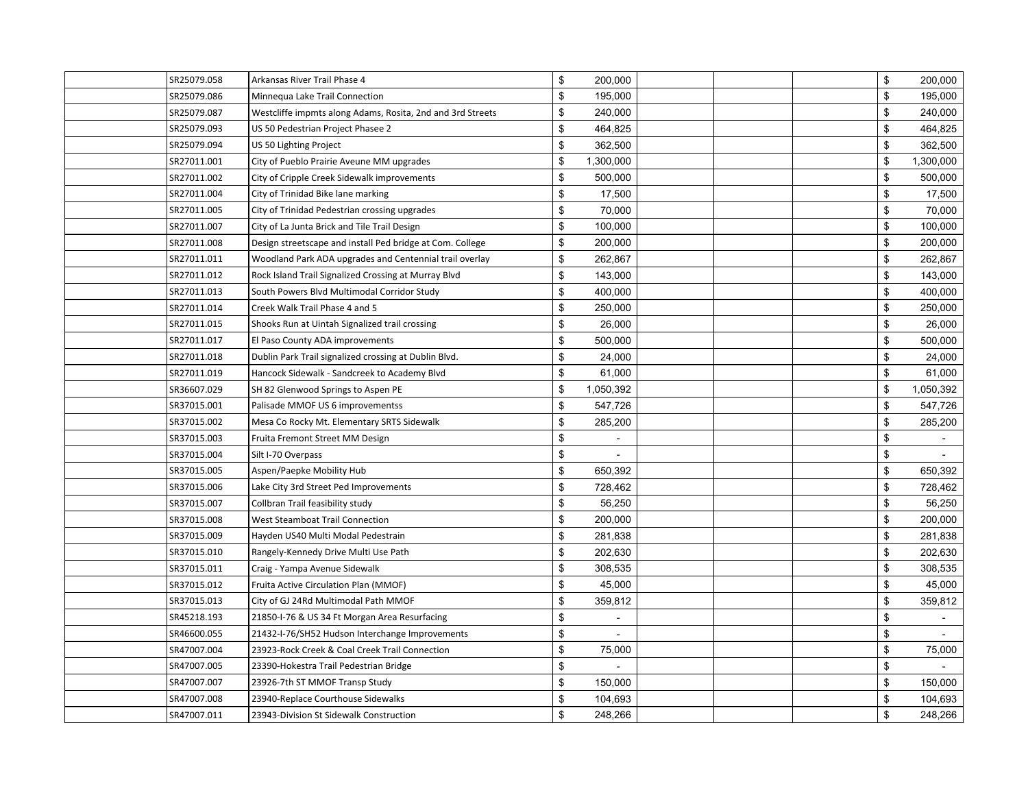| SR25079.058 | Arkansas River Trail Phase 4                               | \$<br>200,000   |  | \$           | 200,000   |
|-------------|------------------------------------------------------------|-----------------|--|--------------|-----------|
| SR25079.086 | Minnequa Lake Trail Connection                             | \$<br>195,000   |  | \$           | 195,000   |
| SR25079.087 | Westcliffe impmts along Adams, Rosita, 2nd and 3rd Streets | \$<br>240,000   |  | \$           | 240,000   |
| SR25079.093 | US 50 Pedestrian Project Phasee 2                          | \$<br>464,825   |  | \$           | 464,825   |
| SR25079.094 | US 50 Lighting Project                                     | \$<br>362,500   |  | \$           | 362,500   |
| SR27011.001 | City of Pueblo Prairie Aveune MM upgrades                  | \$<br>1,300,000 |  | \$           | 1,300,000 |
| SR27011.002 | City of Cripple Creek Sidewalk improvements                | \$<br>500,000   |  | \$           | 500,000   |
| SR27011.004 | City of Trinidad Bike lane marking                         | \$<br>17,500    |  | \$           | 17,500    |
| SR27011.005 | City of Trinidad Pedestrian crossing upgrades              | \$<br>70,000    |  | \$           | 70,000    |
| SR27011.007 | City of La Junta Brick and Tile Trail Design               | \$<br>100,000   |  | \$           | 100,000   |
| SR27011.008 | Design streetscape and install Ped bridge at Com. College  | \$<br>200,000   |  | \$           | 200,000   |
| SR27011.011 | Woodland Park ADA upgrades and Centennial trail overlay    | \$<br>262,867   |  | $\mathbb{S}$ | 262,867   |
| SR27011.012 | Rock Island Trail Signalized Crossing at Murray Blvd       | \$<br>143,000   |  | \$           | 143,000   |
| SR27011.013 | South Powers Blvd Multimodal Corridor Study                | \$<br>400,000   |  | \$           | 400,000   |
| SR27011.014 | Creek Walk Trail Phase 4 and 5                             | \$<br>250,000   |  | \$           | 250,000   |
| SR27011.015 | Shooks Run at Uintah Signalized trail crossing             | \$<br>26,000    |  | \$           | 26,000    |
| SR27011.017 | El Paso County ADA improvements                            | \$<br>500,000   |  | \$           | 500,000   |
| SR27011.018 | Dublin Park Trail signalized crossing at Dublin Blvd.      | \$<br>24,000    |  | \$           | 24,000    |
| SR27011.019 | Hancock Sidewalk - Sandcreek to Academy Blvd               | \$<br>61,000    |  | \$           | 61,000    |
| SR36607.029 | SH 82 Glenwood Springs to Aspen PE                         | \$<br>1,050,392 |  | \$           | 1,050,392 |
| SR37015.001 | Palisade MMOF US 6 improvementss                           | \$<br>547,726   |  | \$           | 547,726   |
| SR37015.002 | Mesa Co Rocky Mt. Elementary SRTS Sidewalk                 | \$<br>285,200   |  | \$           | 285,200   |
| SR37015.003 | Fruita Fremont Street MM Design                            | \$              |  | \$           |           |
| SR37015.004 | Silt I-70 Overpass                                         | \$              |  | \$           |           |
| SR37015.005 | Aspen/Paepke Mobility Hub                                  | \$<br>650,392   |  | \$           | 650,392   |
| SR37015.006 | Lake City 3rd Street Ped Improvements                      | \$<br>728,462   |  | \$           | 728,462   |
| SR37015.007 | Collbran Trail feasibility study                           | \$<br>56,250    |  | \$           | 56,250    |
| SR37015.008 | West Steamboat Trail Connection                            | \$<br>200,000   |  | \$           | 200,000   |
| SR37015.009 | Hayden US40 Multi Modal Pedestrain                         | \$<br>281,838   |  | \$           | 281,838   |
| SR37015.010 | Rangely-Kennedy Drive Multi Use Path                       | \$<br>202,630   |  | \$           | 202,630   |
| SR37015.011 | Craig - Yampa Avenue Sidewalk                              | \$<br>308,535   |  | \$           | 308,535   |
| SR37015.012 | Fruita Active Circulation Plan (MMOF)                      | \$<br>45,000    |  | \$           | 45,000    |
| SR37015.013 | City of GJ 24Rd Multimodal Path MMOF                       | \$<br>359,812   |  | \$           | 359,812   |
| SR45218.193 | 21850-I-76 & US 34 Ft Morgan Area Resurfacing              | \$              |  | \$           |           |
| SR46600.055 | 21432-I-76/SH52 Hudson Interchange Improvements            | \$<br>$\sim$    |  | \$           |           |
| SR47007.004 | 23923-Rock Creek & Coal Creek Trail Connection             | \$<br>75,000    |  | \$           | 75,000    |
| SR47007.005 | 23390-Hokestra Trail Pedestrian Bridge                     | \$              |  | \$           |           |
| SR47007.007 | 23926-7th ST MMOF Transp Study                             | \$<br>150,000   |  | \$           | 150,000   |
| SR47007.008 | 23940-Replace Courthouse Sidewalks                         | \$<br>104,693   |  | \$           | 104,693   |
| SR47007.011 | 23943-Division St Sidewalk Construction                    | \$<br>248,266   |  | \$           | 248,266   |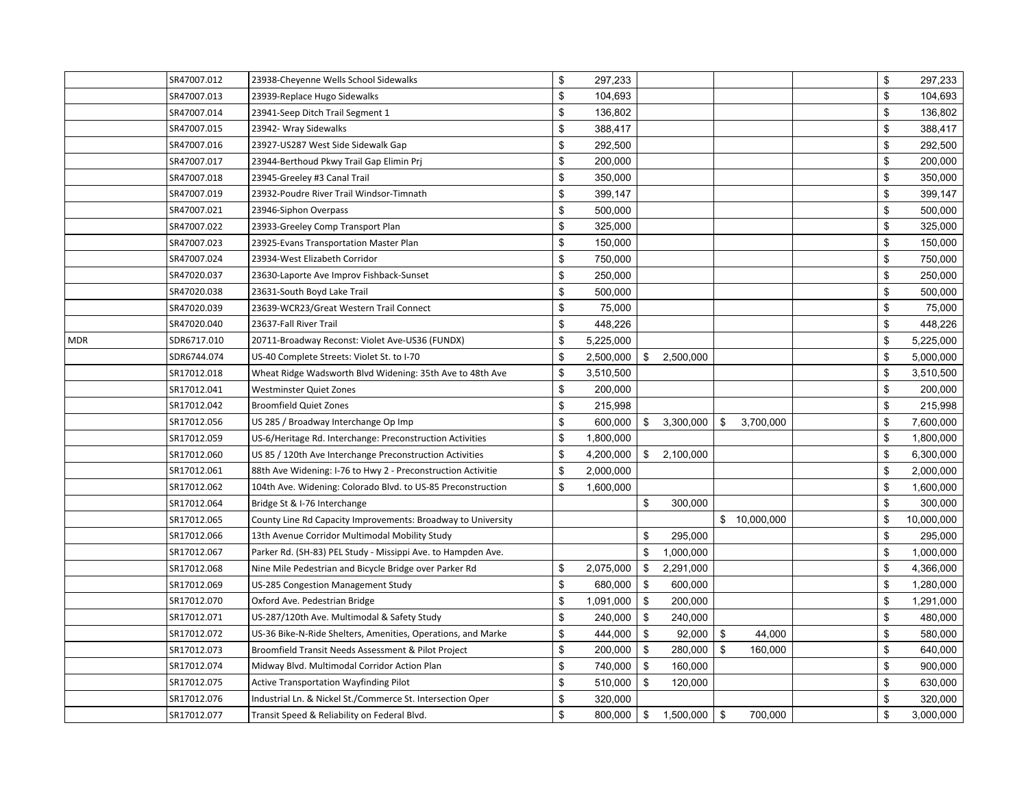|            | SR47007.012 | 23938-Cheyenne Wells School Sidewalks                        | \$<br>297,233   |     |           |                |              | \$           | 297,233    |
|------------|-------------|--------------------------------------------------------------|-----------------|-----|-----------|----------------|--------------|--------------|------------|
|            | SR47007.013 | 23939-Replace Hugo Sidewalks                                 | \$<br>104,693   |     |           |                |              | \$           | 104,693    |
|            | SR47007.014 | 23941-Seep Ditch Trail Segment 1                             | \$<br>136,802   |     |           |                |              | \$           | 136,802    |
|            | SR47007.015 | 23942- Wray Sidewalks                                        | \$<br>388,417   |     |           |                |              | \$           | 388,417    |
|            | SR47007.016 | 23927-US287 West Side Sidewalk Gap                           | \$<br>292,500   |     |           |                |              | $\mathbb{S}$ | 292,500    |
|            | SR47007.017 | 23944-Berthoud Pkwy Trail Gap Elimin Prj                     | \$<br>200,000   |     |           |                |              | \$           | 200,000    |
|            | SR47007.018 | 23945-Greeley #3 Canal Trail                                 | \$<br>350,000   |     |           |                |              | \$           | 350,000    |
|            | SR47007.019 | 23932-Poudre River Trail Windsor-Timnath                     | \$<br>399,147   |     |           |                |              | \$           | 399,147    |
|            | SR47007.021 | 23946-Siphon Overpass                                        | \$<br>500,000   |     |           |                |              | \$           | 500,000    |
|            | SR47007.022 | 23933-Greeley Comp Transport Plan                            | \$<br>325,000   |     |           |                |              | \$           | 325,000    |
|            | SR47007.023 | 23925-Evans Transportation Master Plan                       | \$<br>150,000   |     |           |                |              | \$           | 150,000    |
|            | SR47007.024 | 23934-West Elizabeth Corridor                                | \$<br>750,000   |     |           |                |              | \$           | 750,000    |
|            | SR47020.037 | 23630-Laporte Ave Improv Fishback-Sunset                     | \$<br>250,000   |     |           |                |              | \$           | 250,000    |
|            | SR47020.038 | 23631-South Boyd Lake Trail                                  | \$<br>500,000   |     |           |                |              | \$           | 500,000    |
|            | SR47020.039 | 23639-WCR23/Great Western Trail Connect                      | \$<br>75,000    |     |           |                |              | \$           | 75,000     |
|            | SR47020.040 | 23637-Fall River Trail                                       | \$<br>448,226   |     |           |                |              | \$           | 448,226    |
| <b>MDR</b> | SDR6717.010 | 20711-Broadway Reconst: Violet Ave-US36 (FUNDX)              | \$<br>5,225,000 |     |           |                |              | \$           | 5,225,000  |
|            | SDR6744.074 | US-40 Complete Streets: Violet St. to I-70                   | \$<br>2,500,000 | \$  | 2,500,000 |                |              | \$           | 5,000,000  |
|            | SR17012.018 | Wheat Ridge Wadsworth Blvd Widening: 35th Ave to 48th Ave    | \$<br>3,510,500 |     |           |                |              | \$           | 3,510,500  |
|            | SR17012.041 | Westminster Quiet Zones                                      | \$<br>200,000   |     |           |                |              | \$           | 200,000    |
|            | SR17012.042 | <b>Broomfield Quiet Zones</b>                                | \$<br>215,998   |     |           |                |              | \$           | 215,998    |
|            | SR17012.056 | US 285 / Broadway Interchange Op Imp                         | \$<br>600,000   | \$  | 3,300,000 | \$             | 3,700,000    | \$           | 7,600,000  |
|            | SR17012.059 | US-6/Heritage Rd. Interchange: Preconstruction Activities    | \$<br>1,800,000 |     |           |                |              | \$           | 1,800,000  |
|            | SR17012.060 | US 85 / 120th Ave Interchange Preconstruction Activities     | \$<br>4,200,000 | \$  | 2,100,000 |                |              | \$           | 6,300,000  |
|            | SR17012.061 | 88th Ave Widening: I-76 to Hwy 2 - Preconstruction Activitie | \$<br>2,000,000 |     |           |                |              | \$           | 2,000,000  |
|            | SR17012.062 | 104th Ave. Widening: Colorado Blvd. to US-85 Preconstruction | \$<br>1,600,000 |     |           |                |              | \$           | 1,600,000  |
|            | SR17012.064 | Bridge St & I-76 Interchange                                 |                 | \$  | 300,000   |                |              | \$           | 300,000    |
|            | SR17012.065 | County Line Rd Capacity Improvements: Broadway to University |                 |     |           |                | \$10,000,000 | \$           | 10,000,000 |
|            | SR17012.066 | 13th Avenue Corridor Multimodal Mobility Study               |                 | \$  | 295,000   |                |              | \$           | 295,000    |
|            | SR17012.067 | Parker Rd. (SH-83) PEL Study - Missippi Ave. to Hampden Ave. |                 | \$  | 1,000,000 |                |              | \$           | 1,000,000  |
|            | SR17012.068 | Nine Mile Pedestrian and Bicycle Bridge over Parker Rd       | \$<br>2,075,000 | \$  | 2,291,000 |                |              | \$           | 4,366,000  |
|            | SR17012.069 | US-285 Congestion Management Study                           | \$<br>680,000   | -\$ | 600,000   |                |              | \$           | 1,280,000  |
|            | SR17012.070 | Oxford Ave. Pedestrian Bridge                                | \$<br>1,091,000 | -\$ | 200,000   |                |              | \$           | 1,291,000  |
|            | SR17012.071 | US-287/120th Ave. Multimodal & Safety Study                  | \$<br>240,000   | \$  | 240,000   |                |              | \$           | 480,000    |
|            | SR17012.072 | US-36 Bike-N-Ride Shelters, Amenities, Operations, and Marke | \$<br>444,000   | \$  | 92,000    | $\mathfrak{F}$ | 44,000       | \$           | 580,000    |
|            | SR17012.073 | Broomfield Transit Needs Assessment & Pilot Project          | \$<br>200,000   | \$  | 280,000   | \$             | 160,000      | \$           | 640,000    |
|            | SR17012.074 | Midway Blvd. Multimodal Corridor Action Plan                 | \$<br>740,000   | \$  | 160,000   |                |              | \$           | 900,000    |
|            | SR17012.075 | <b>Active Transportation Wayfinding Pilot</b>                | \$<br>510,000   | \$  | 120,000   |                |              | \$           | 630,000    |
|            | SR17012.076 | Industrial Ln. & Nickel St./Commerce St. Intersection Oper   | \$<br>320,000   |     |           |                |              | \$           | 320,000    |
|            | SR17012.077 | Transit Speed & Reliability on Federal Blvd.                 | \$<br>800,000   | \$  | 1,500,000 | \$             | 700,000      | \$           | 3,000,000  |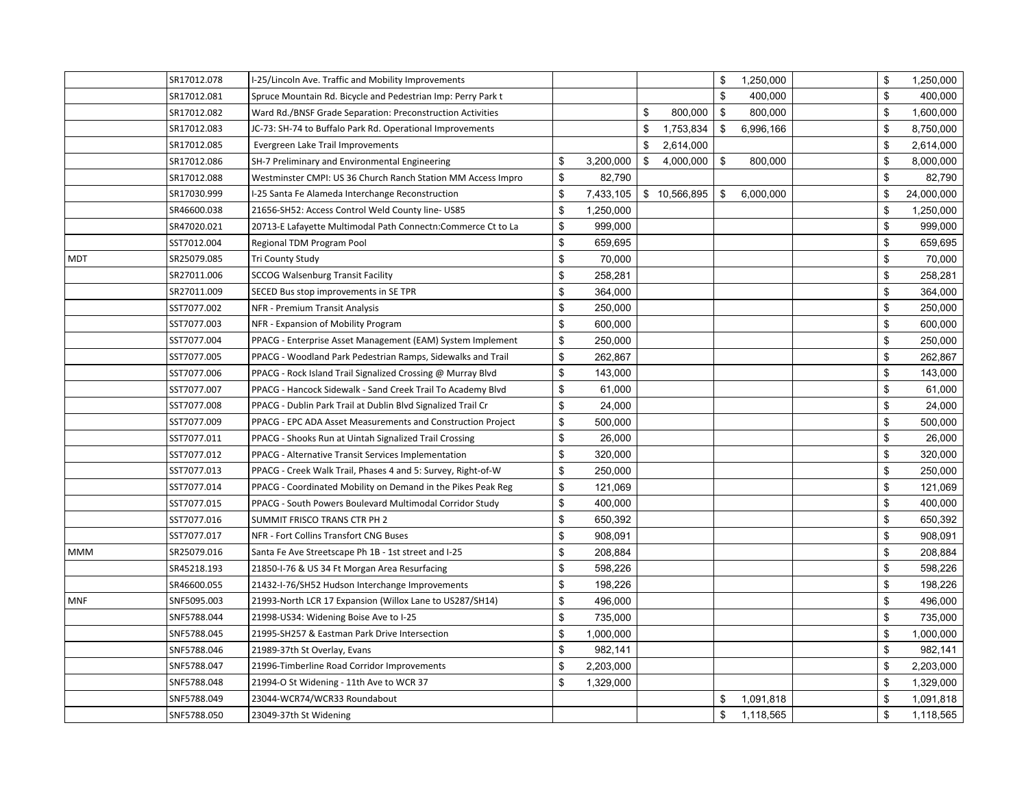|            | SR17012.078 | I-25/Lincoln Ave. Traffic and Mobility Improvements          |     |           |                 | \$<br>1,250,000 | \$ | 1,250,000  |
|------------|-------------|--------------------------------------------------------------|-----|-----------|-----------------|-----------------|----|------------|
|            | SR17012.081 | Spruce Mountain Rd. Bicycle and Pedestrian Imp: Perry Park t |     |           |                 | \$<br>400,000   | \$ | 400,000    |
|            | SR17012.082 | Ward Rd./BNSF Grade Separation: Preconstruction Activities   |     |           | \$<br>800,000   | \$<br>800,000   | \$ | 1,600,000  |
|            | SR17012.083 | JC-73: SH-74 to Buffalo Park Rd. Operational Improvements    |     |           | \$<br>1,753,834 | \$<br>6,996,166 | \$ | 8,750,000  |
|            | SR17012.085 | Evergreen Lake Trail Improvements                            |     |           | \$<br>2,614,000 |                 | \$ | 2,614,000  |
|            | SR17012.086 | SH-7 Preliminary and Environmental Engineering               | \$  | 3,200,000 | \$<br>4,000,000 | \$<br>800,000   | \$ | 8,000,000  |
|            | SR17012.088 | Westminster CMPI: US 36 Church Ranch Station MM Access Impro | \$  | 82,790    |                 |                 | \$ | 82,790     |
|            | SR17030.999 | I-25 Santa Fe Alameda Interchange Reconstruction             | \$  | 7,433,105 | \$10,566,895    | \$<br>6,000,000 | \$ | 24,000,000 |
|            | SR46600.038 | 21656-SH52: Access Control Weld County line- US85            | \$  | 1,250,000 |                 |                 | \$ | 1,250,000  |
|            | SR47020.021 | 20713-E Lafayette Multimodal Path Connectn:Commerce Ct to La | \$  | 999,000   |                 |                 | \$ | 999,000    |
|            | SST7012.004 | Regional TDM Program Pool                                    | \$  | 659,695   |                 |                 | \$ | 659,695    |
| <b>MDT</b> | SR25079.085 | Tri County Study                                             | \$. | 70.000    |                 |                 | \$ | 70,000     |
|            | SR27011.006 | <b>SCCOG Walsenburg Transit Facility</b>                     | \$  | 258,281   |                 |                 | \$ | 258,281    |
|            | SR27011.009 | SECED Bus stop improvements in SE TPR                        | \$  | 364,000   |                 |                 | \$ | 364,000    |
|            | SST7077.002 | NFR - Premium Transit Analysis                               | \$  | 250,000   |                 |                 | \$ | 250,000    |
|            | SST7077.003 | NFR - Expansion of Mobility Program                          | \$  | 600,000   |                 |                 | \$ | 600,000    |
|            | SST7077.004 | PPACG - Enterprise Asset Management (EAM) System Implement   | \$  | 250,000   |                 |                 | \$ | 250,000    |
|            | SST7077.005 | PPACG - Woodland Park Pedestrian Ramps, Sidewalks and Trail  | \$  | 262,867   |                 |                 | \$ | 262,867    |
|            | SST7077.006 | PPACG - Rock Island Trail Signalized Crossing @ Murray Blvd  | \$  | 143,000   |                 |                 | \$ | 143,000    |
|            | SST7077.007 | PPACG - Hancock Sidewalk - Sand Creek Trail To Academy Blvd  | \$  | 61,000    |                 |                 | \$ | 61,000     |
|            | SST7077.008 | PPACG - Dublin Park Trail at Dublin Blvd Signalized Trail Cr | \$  | 24,000    |                 |                 | \$ | 24,000     |
|            | SST7077.009 | PPACG - EPC ADA Asset Measurements and Construction Project  | \$  | 500,000   |                 |                 | \$ | 500,000    |
|            | SST7077.011 | PPACG - Shooks Run at Uintah Signalized Trail Crossing       | \$  | 26,000    |                 |                 | \$ | 26,000     |
|            | SST7077.012 | PPACG - Alternative Transit Services Implementation          | \$  | 320,000   |                 |                 | \$ | 320,000    |
|            | SST7077.013 | PPACG - Creek Walk Trail, Phases 4 and 5: Survey, Right-of-W | \$  | 250,000   |                 |                 | \$ | 250,000    |
|            | SST7077.014 | PPACG - Coordinated Mobility on Demand in the Pikes Peak Reg | \$  | 121,069   |                 |                 | \$ | 121,069    |
|            | SST7077.015 | PPACG - South Powers Boulevard Multimodal Corridor Study     | \$  | 400,000   |                 |                 | \$ | 400,000    |
|            | SST7077.016 | SUMMIT FRISCO TRANS CTR PH 2                                 | \$  | 650,392   |                 |                 | \$ | 650,392    |
|            | SST7077.017 | NFR - Fort Collins Transfort CNG Buses                       | \$  | 908,091   |                 |                 | \$ | 908,091    |
| <b>MMM</b> | SR25079.016 | Santa Fe Ave Streetscape Ph 1B - 1st street and I-25         | \$  | 208,884   |                 |                 | \$ | 208,884    |
|            | SR45218.193 | 21850-I-76 & US 34 Ft Morgan Area Resurfacing                | \$  | 598,226   |                 |                 | \$ | 598,226    |
|            | SR46600.055 | 21432-I-76/SH52 Hudson Interchange Improvements              | \$  | 198,226   |                 |                 | \$ | 198,226    |
| <b>MNF</b> | SNF5095.003 | 21993-North LCR 17 Expansion (Willox Lane to US287/SH14)     | \$  | 496,000   |                 |                 | \$ | 496,000    |
|            | SNF5788.044 | 21998-US34: Widening Boise Ave to I-25                       | \$  | 735,000   |                 |                 | \$ | 735,000    |
|            | SNF5788.045 | 21995-SH257 & Eastman Park Drive Intersection                | \$  | 1,000,000 |                 |                 | \$ | 1,000,000  |
|            | SNF5788.046 | 21989-37th St Overlay, Evans                                 | \$  | 982,141   |                 |                 | \$ | 982,141    |
|            | SNF5788.047 | 21996-Timberline Road Corridor Improvements                  | \$  | 2,203,000 |                 |                 | \$ | 2,203,000  |
|            | SNF5788.048 | 21994-O St Widening - 11th Ave to WCR 37                     | \$  | 1,329,000 |                 |                 | \$ | 1,329,000  |
|            | SNF5788.049 | 23044-WCR74/WCR33 Roundabout                                 |     |           |                 | \$<br>1,091,818 | \$ | 1,091,818  |
|            | SNF5788.050 | 23049-37th St Widening                                       |     |           |                 | \$<br>1,118,565 | \$ | 1,118,565  |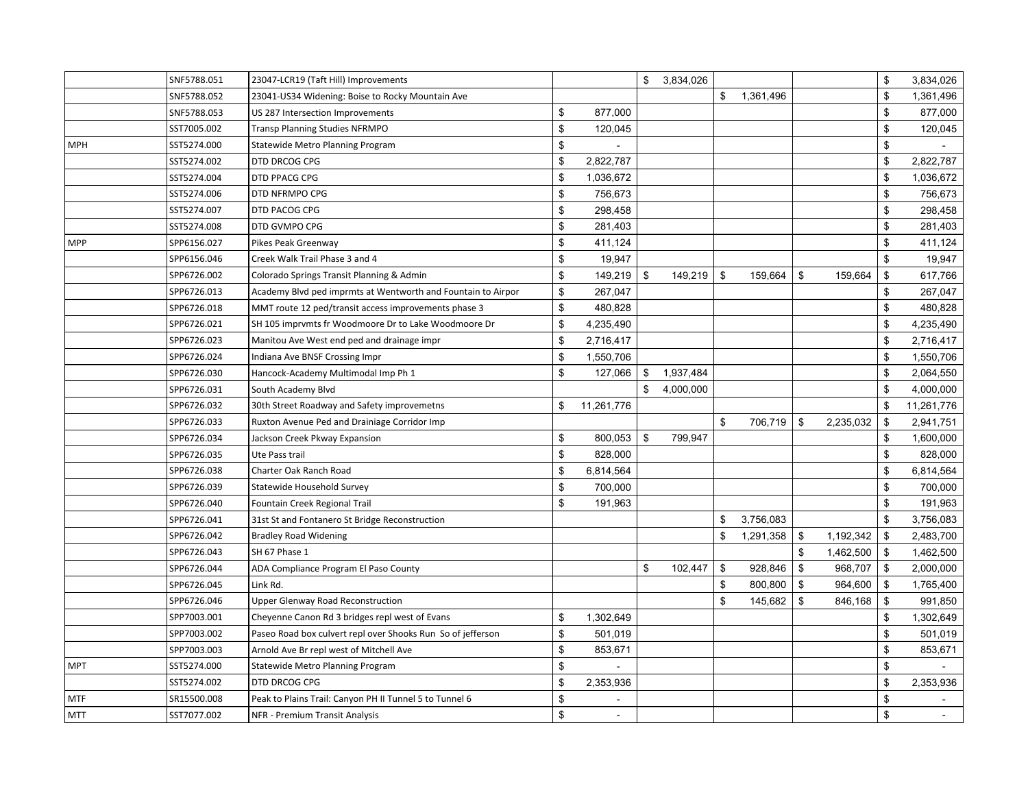|            | SNF5788.051 | 23047-LCR19 (Taft Hill) Improvements                         |                  | \$   | 3,834,026 |                |           |                 | \$<br>3,834,026                |
|------------|-------------|--------------------------------------------------------------|------------------|------|-----------|----------------|-----------|-----------------|--------------------------------|
|            | SNF5788.052 | 23041-US34 Widening: Boise to Rocky Mountain Ave             |                  |      |           | \$             | 1,361,496 |                 | \$<br>1,361,496                |
|            | SNF5788.053 | US 287 Intersection Improvements                             | \$<br>877,000    |      |           |                |           |                 | \$<br>877,000                  |
|            | SST7005.002 | Transp Planning Studies NFRMPO                               | \$<br>120,045    |      |           |                |           |                 | \$<br>120,045                  |
| <b>MPH</b> | SST5274.000 | Statewide Metro Planning Program                             | \$               |      |           |                |           |                 | \$                             |
|            | SST5274.002 | DTD DRCOG CPG                                                | \$<br>2,822,787  |      |           |                |           |                 | \$<br>2,822,787                |
|            | SST5274.004 | DTD PPACG CPG                                                | \$<br>1,036,672  |      |           |                |           |                 | \$<br>1,036,672                |
|            | SST5274.006 | DTD NFRMPO CPG                                               | \$<br>756,673    |      |           |                |           |                 | \$<br>756,673                  |
|            | SST5274.007 | DTD PACOG CPG                                                | \$<br>298,458    |      |           |                |           |                 | \$<br>298,458                  |
|            | SST5274.008 | DTD GVMPO CPG                                                | \$<br>281,403    |      |           |                |           |                 | \$<br>281,403                  |
| <b>MPP</b> | SPP6156.027 | Pikes Peak Greenway                                          | \$<br>411,124    |      |           |                |           |                 | \$<br>411,124                  |
|            | SPP6156.046 | Creek Walk Trail Phase 3 and 4                               | \$<br>19,947     |      |           |                |           |                 | \$<br>19,947                   |
|            | SPP6726.002 | Colorado Springs Transit Planning & Admin                    | \$<br>149,219    | - \$ | 149,219   | $\mathfrak{F}$ | 159,664   | \$<br>159,664   | \$<br>617,766                  |
|            | SPP6726.013 | Academy Blvd ped imprmts at Wentworth and Fountain to Airpor | \$<br>267,047    |      |           |                |           |                 | \$<br>267,047                  |
|            | SPP6726.018 | MMT route 12 ped/transit access improvements phase 3         | \$<br>480,828    |      |           |                |           |                 | \$<br>480,828                  |
|            | SPP6726.021 | SH 105 imprymts fr Woodmoore Dr to Lake Woodmoore Dr         | \$<br>4,235,490  |      |           |                |           |                 | \$<br>4,235,490                |
|            | SPP6726.023 | Manitou Ave West end ped and drainage impr                   | \$<br>2,716,417  |      |           |                |           |                 | \$<br>2,716,417                |
|            | SPP6726.024 | Indiana Ave BNSF Crossing Impr                               | \$<br>1,550,706  |      |           |                |           |                 | \$<br>1,550,706                |
|            | SPP6726.030 | Hancock-Academy Multimodal Imp Ph 1                          | \$<br>127,066    | \$   | 1,937,484 |                |           |                 | \$<br>2,064,550                |
|            | SPP6726.031 | South Academy Blvd                                           |                  | \$   | 4,000,000 |                |           |                 | \$<br>4,000,000                |
|            | SPP6726.032 | 30th Street Roadway and Safety improvemetns                  | \$<br>11,261,776 |      |           |                |           |                 | \$<br>11,261,776               |
|            | SPP6726.033 | Ruxton Avenue Ped and Drainiage Corridor Imp                 |                  |      |           | \$             | 706,719   | \$<br>2,235,032 | \$<br>2,941,751                |
|            | SPP6726.034 | Jackson Creek Pkway Expansion                                | \$<br>800,053    | \$   | 799,947   |                |           |                 | \$<br>1,600,000                |
|            | SPP6726.035 | Ute Pass trail                                               | \$<br>828,000    |      |           |                |           |                 | \$<br>828,000                  |
|            | SPP6726.038 | Charter Oak Ranch Road                                       | \$<br>6,814,564  |      |           |                |           |                 | \$<br>6,814,564                |
|            | SPP6726.039 | Statewide Household Survey                                   | \$<br>700,000    |      |           |                |           |                 | \$<br>700,000                  |
|            | SPP6726.040 | Fountain Creek Regional Trail                                | \$<br>191,963    |      |           |                |           |                 | \$<br>191,963                  |
|            | SPP6726.041 | 31st St and Fontanero St Bridge Reconstruction               |                  |      |           | \$             | 3,756,083 |                 | \$<br>3,756,083                |
|            | SPP6726.042 | <b>Bradley Road Widening</b>                                 |                  |      |           | \$             | 1,291,358 | \$<br>1,192,342 | \$<br>2,483,700                |
|            | SPP6726.043 | SH 67 Phase 1                                                |                  |      |           |                |           | \$<br>1,462,500 | \$<br>1,462,500                |
|            | SPP6726.044 | ADA Compliance Program El Paso County                        |                  | \$   | 102,447   | \$             | 928,846   | \$<br>968,707   | \$<br>2,000,000                |
|            | SPP6726.045 | Link Rd.                                                     |                  |      |           | \$             | 800,800   | \$<br>964,600   | \$<br>1,765,400                |
|            | SPP6726.046 | <b>Upper Glenway Road Reconstruction</b>                     |                  |      |           | \$             | 145,682   | \$<br>846,168   | \$<br>991,850                  |
|            | SPP7003.001 | Cheyenne Canon Rd 3 bridges repl west of Evans               | \$<br>1,302,649  |      |           |                |           |                 | \$<br>1,302,649                |
|            | SPP7003.002 | Paseo Road box culvert repl over Shooks Run So of jefferson  | \$<br>501,019    |      |           |                |           |                 | \$<br>501,019                  |
|            | SPP7003.003 | Arnold Ave Br repl west of Mitchell Ave                      | \$<br>853,671    |      |           |                |           |                 | \$<br>853,671                  |
| <b>MPT</b> | SST5274.000 | Statewide Metro Planning Program                             | \$               |      |           |                |           |                 | \$                             |
|            | SST5274.002 | DTD DRCOG CPG                                                | \$<br>2,353,936  |      |           |                |           |                 | \$<br>2,353,936                |
| <b>MTF</b> | SR15500.008 | Peak to Plains Trail: Canyon PH II Tunnel 5 to Tunnel 6      | \$               |      |           |                |           |                 | \$                             |
| <b>MTT</b> | SST7077.002 | NFR - Premium Transit Analysis                               | \$               |      |           |                |           |                 | \$<br>$\overline{\phantom{a}}$ |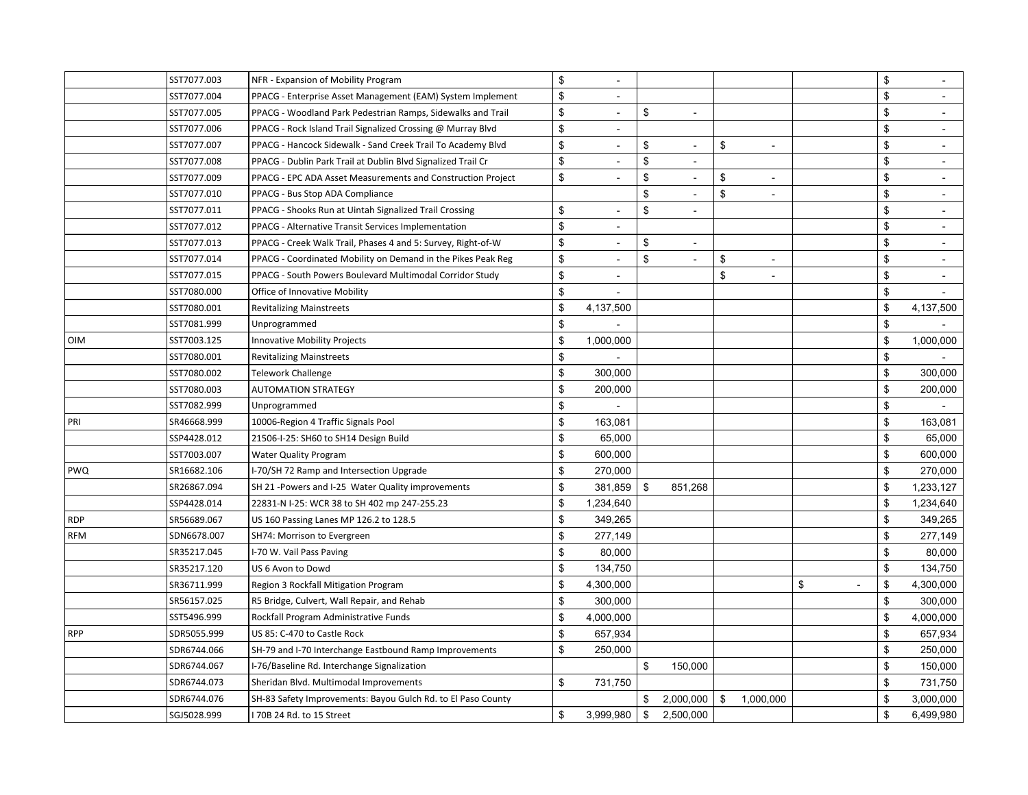|            | SST7077.003 | NFR - Expansion of Mobility Program                          | \$  | $\sim$                   |                                |                           |                          | \$           |                          |
|------------|-------------|--------------------------------------------------------------|-----|--------------------------|--------------------------------|---------------------------|--------------------------|--------------|--------------------------|
|            | SST7077.004 | PPACG - Enterprise Asset Management (EAM) System Implement   | \$  |                          |                                |                           |                          | \$           |                          |
|            | SST7077.005 | PPACG - Woodland Park Pedestrian Ramps, Sidewalks and Trail  | \$  |                          | \$                             |                           |                          | \$           |                          |
|            | SST7077.006 | PPACG - Rock Island Trail Signalized Crossing @ Murray Blvd  | \$  | $\sim$                   |                                |                           |                          | \$           | $\equiv$                 |
|            | SST7077.007 | PPACG - Hancock Sidewalk - Sand Creek Trail To Academy Blvd  | \$  | $\overline{\phantom{a}}$ | \$<br>$\overline{a}$           | $\mathfrak{F}$            | $\blacksquare$           | \$           | $\overline{\phantom{a}}$ |
|            | SST7077.008 | PPACG - Dublin Park Trail at Dublin Blvd Signalized Trail Cr | \$  |                          | \$<br>$\overline{\phantom{a}}$ |                           |                          | \$           | $\overline{\phantom{a}}$ |
|            | SST7077.009 | PPACG - EPC ADA Asset Measurements and Construction Project  | \$  |                          | \$                             | \$                        |                          | \$           |                          |
|            | SST7077.010 | PPACG - Bus Stop ADA Compliance                              |     |                          | \$<br>$\overline{\phantom{a}}$ | $\boldsymbol{\mathsf{S}}$ | $\overline{a}$           | \$           | $\sim$                   |
|            | SST7077.011 | PPACG - Shooks Run at Uintah Signalized Trail Crossing       | \$  | $\sim$                   | \$<br>$\overline{\phantom{a}}$ |                           |                          | \$           | $\sim$                   |
|            | SST7077.012 | PPACG - Alternative Transit Services Implementation          | \$  |                          |                                |                           |                          | \$           | $\sim$                   |
|            | SST7077.013 | PPACG - Creek Walk Trail, Phases 4 and 5: Survey, Right-of-W | \$  |                          | \$                             |                           |                          | \$           |                          |
|            | SST7077.014 | PPACG - Coordinated Mobility on Demand in the Pikes Peak Reg | \$  | $\blacksquare$           | \$<br>$\bar{a}$                | $\boldsymbol{\mathsf{S}}$ | $\blacksquare$           | \$           | $\overline{\phantom{a}}$ |
|            | SST7077.015 | PPACG - South Powers Boulevard Multimodal Corridor Study     | \$  | $\blacksquare$           |                                | $\mathfrak{s}$            | $\overline{\phantom{a}}$ | \$           | $\overline{\phantom{a}}$ |
|            | SST7080.000 | Office of Innovative Mobility                                | \$  | $\blacksquare$           |                                |                           |                          | \$           |                          |
|            | SST7080.001 | <b>Revitalizing Mainstreets</b>                              | \$  | 4,137,500                |                                |                           |                          | \$           | 4,137,500                |
|            | SST7081.999 | Unprogrammed                                                 | \$  |                          |                                |                           |                          | \$           |                          |
| OIM        | SST7003.125 | Innovative Mobility Projects                                 | \$  | 1,000,000                |                                |                           |                          | \$           | 1,000,000                |
|            | SST7080.001 | <b>Revitalizing Mainstreets</b>                              | \$  |                          |                                |                           |                          | \$           |                          |
|            | SST7080.002 | Telework Challenge                                           | \$  | 300,000                  |                                |                           |                          | \$           | 300,000                  |
|            | SST7080.003 | <b>AUTOMATION STRATEGY</b>                                   | \$  | 200,000                  |                                |                           |                          | $\mathbb{S}$ | 200,000                  |
|            | SST7082.999 | Unprogrammed                                                 | \$  |                          |                                |                           |                          | \$           |                          |
| PRI        | SR46668.999 | 10006-Region 4 Traffic Signals Pool                          | \$  | 163,081                  |                                |                           |                          | \$           | 163,081                  |
|            | SSP4428.012 | 21506-I-25: SH60 to SH14 Design Build                        | \$  | 65,000                   |                                |                           |                          | \$           | 65,000                   |
|            | SST7003.007 | <b>Water Quality Program</b>                                 | \$  | 600,000                  |                                |                           |                          | \$           | 600,000                  |
| PWQ        | SR16682.106 | I-70/SH 72 Ramp and Intersection Upgrade                     | \$  | 270,000                  |                                |                           |                          | \$           | 270,000                  |
|            | SR26867.094 | SH 21 -Powers and I-25 Water Quality improvements            | \$. | 381,859                  | \$<br>851,268                  |                           |                          | \$           | 1,233,127                |
|            | SSP4428.014 | 22831-N I-25: WCR 38 to SH 402 mp 247-255.23                 | \$  | 1,234,640                |                                |                           |                          | \$           | 1,234,640                |
| <b>RDP</b> | SR56689.067 | US 160 Passing Lanes MP 126.2 to 128.5                       | \$  | 349,265                  |                                |                           |                          | \$           | 349,265                  |
| <b>RFM</b> | SDN6678.007 | SH74: Morrison to Evergreen                                  | \$. | 277,149                  |                                |                           |                          | \$           | 277,149                  |
|            | SR35217.045 | I-70 W. Vail Pass Paving                                     | \$  | 80,000                   |                                |                           |                          | \$           | 80,000                   |
|            | SR35217.120 | US 6 Avon to Dowd                                            | \$  | 134,750                  |                                |                           |                          | \$           | 134,750                  |
|            | SR36711.999 | Region 3 Rockfall Mitigation Program                         | \$  | 4,300,000                |                                |                           |                          | \$<br>\$     | 4,300,000                |
|            | SR56157.025 | R5 Bridge, Culvert, Wall Repair, and Rehab                   | \$  | 300,000                  |                                |                           |                          | \$           | 300,000                  |
|            | SST5496.999 | Rockfall Program Administrative Funds                        | \$  | 4,000,000                |                                |                           |                          | \$           | 4,000,000                |
| <b>RPP</b> | SDR5055.999 | US 85: C-470 to Castle Rock                                  | \$  | 657,934                  |                                |                           |                          | \$           | 657,934                  |
|            | SDR6744.066 | SH-79 and I-70 Interchange Eastbound Ramp Improvements       | \$  | 250,000                  |                                |                           |                          | $\mathbb{S}$ | 250,000                  |
|            | SDR6744.067 | I-76/Baseline Rd. Interchange Signalization                  |     |                          | \$<br>150,000                  |                           |                          | \$           | 150,000                  |
|            | SDR6744.073 | Sheridan Blvd. Multimodal Improvements                       | \$  | 731,750                  |                                |                           |                          | \$           | 731,750                  |
|            | SDR6744.076 | SH-83 Safety Improvements: Bayou Gulch Rd. to El Paso County |     |                          | \$<br>2,000,000                | \$                        | 1,000,000                | \$           | 3,000,000                |
|            | SGJ5028.999 | 70B 24 Rd. to 15 Street                                      | \$  | 3,999,980                | \$<br>2,500,000                |                           |                          | \$           | 6,499,980                |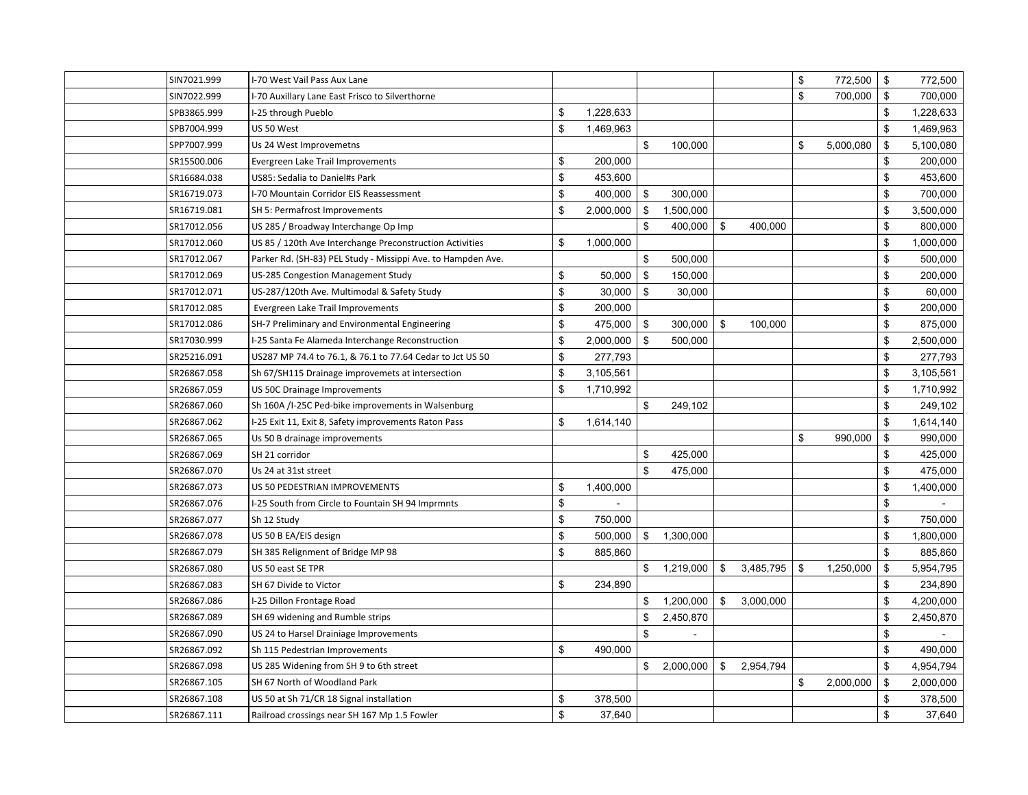| SIN7021.999 | I-70 West Vail Pass Aux Lane                                 |     |           |                 |                 | \$   | 772,500   | \$<br>772,500   |
|-------------|--------------------------------------------------------------|-----|-----------|-----------------|-----------------|------|-----------|-----------------|
| SIN7022.999 | I-70 Auxillary Lane East Frisco to Silverthorne              |     |           |                 |                 | \$   | 700,000   | \$<br>700,000   |
| SPB3865.999 | I-25 through Pueblo                                          | \$  | 1,228,633 |                 |                 |      |           | \$<br>1,228,633 |
| SPB7004.999 | US 50 West                                                   | \$  | 1.469.963 |                 |                 |      |           | \$<br>1,469,963 |
| SPP7007.999 | Us 24 West Improvemetns                                      |     |           | \$<br>100,000   |                 | \$   | 5,000,080 | \$<br>5,100,080 |
| SR15500.006 | Evergreen Lake Trail Improvements                            | \$  | 200,000   |                 |                 |      |           | \$<br>200,000   |
| SR16684.038 | US85: Sedalia to Daniel#s Park                               | \$  | 453,600   |                 |                 |      |           | \$<br>453,600   |
| SR16719.073 | I-70 Mountain Corridor EIS Reassessment                      | \$  | 400,000   | \$<br>300,000   |                 |      |           | \$<br>700,000   |
| SR16719.081 | SH 5: Permafrost Improvements                                | \$  | 2,000,000 | \$<br>1,500,000 |                 |      |           | \$<br>3,500,000 |
| SR17012.056 | US 285 / Broadway Interchange Op Imp                         |     |           | \$<br>400,000   | \$<br>400,000   |      |           | \$<br>800,000   |
| SR17012.060 | US 85 / 120th Ave Interchange Preconstruction Activities     | \$  | 1,000,000 |                 |                 |      |           | \$<br>1,000,000 |
| SR17012.067 | Parker Rd. (SH-83) PEL Study - Missippi Ave. to Hampden Ave. |     |           | \$<br>500,000   |                 |      |           | \$<br>500,000   |
| SR17012.069 | US-285 Congestion Management Study                           | \$  | 50,000    | \$<br>150,000   |                 |      |           | \$<br>200,000   |
| SR17012.071 | US-287/120th Ave. Multimodal & Safety Study                  | \$  | 30,000    | \$<br>30,000    |                 |      |           | \$<br>60,000    |
| SR17012.085 | Evergreen Lake Trail Improvements                            | \$  | 200,000   |                 |                 |      |           | \$<br>200,000   |
| SR17012.086 | SH-7 Preliminary and Environmental Engineering               | \$  | 475,000   | \$<br>300,000   | \$<br>100,000   |      |           | \$<br>875,000   |
| SR17030.999 | I-25 Santa Fe Alameda Interchange Reconstruction             | \$  | 2,000,000 | \$<br>500,000   |                 |      |           | \$<br>2,500,000 |
| SR25216.091 | US287 MP 74.4 to 76.1, & 76.1 to 77.64 Cedar to Jct US 50    | \$  | 277,793   |                 |                 |      |           | \$<br>277,793   |
| SR26867.058 | Sh 67/SH115 Drainage improvemets at intersection             | \$. | 3,105,561 |                 |                 |      |           | \$<br>3,105,561 |
| SR26867.059 | US 50C Drainage Improvements                                 | \$  | 1,710,992 |                 |                 |      |           | \$<br>1,710,992 |
| SR26867.060 | Sh 160A /I-25C Ped-bike improvements in Walsenburg           |     |           | \$<br>249,102   |                 |      |           | \$<br>249,102   |
| SR26867.062 | I-25 Exit 11, Exit 8, Safety improvements Raton Pass         | \$  | 1,614,140 |                 |                 |      |           | \$<br>1,614,140 |
| SR26867.065 | Us 50 B drainage improvements                                |     |           |                 |                 | \$   | 990,000   | \$<br>990,000   |
| SR26867.069 | SH 21 corridor                                               |     |           | \$<br>425,000   |                 |      |           | \$<br>425,000   |
| SR26867.070 | Us 24 at 31st street                                         |     |           | \$<br>475,000   |                 |      |           | \$<br>475,000   |
| SR26867.073 | US 50 PEDESTRIAN IMPROVEMENTS                                | \$  | 1,400,000 |                 |                 |      |           | \$<br>1,400,000 |
| SR26867.076 | I-25 South from Circle to Fountain SH 94 Imprmnts            | \$  |           |                 |                 |      |           | \$              |
| SR26867.077 | Sh 12 Study                                                  | \$  | 750,000   |                 |                 |      |           | \$<br>750,000   |
| SR26867.078 | US 50 B EA/EIS design                                        | \$  | 500,000   | \$ 1,300,000    |                 |      |           | \$<br>1,800,000 |
| SR26867.079 | SH 385 Relignment of Bridge MP 98                            | \$  | 885,860   |                 |                 |      |           | \$<br>885,860   |
| SR26867.080 | US 50 east SE TPR                                            |     |           | \$<br>1,219,000 | \$<br>3,485,795 | - \$ | 1,250,000 | \$<br>5,954,795 |
| SR26867.083 | SH 67 Divide to Victor                                       | \$  | 234,890   |                 |                 |      |           | \$<br>234,890   |
| SR26867.086 | I-25 Dillon Frontage Road                                    |     |           | \$<br>1,200,000 | \$<br>3,000,000 |      |           | \$<br>4,200,000 |
| SR26867.089 | SH 69 widening and Rumble strips                             |     |           | \$<br>2,450,870 |                 |      |           | \$<br>2,450,870 |
| SR26867.090 | US 24 to Harsel Drainiage Improvements                       |     |           | \$              |                 |      |           | \$              |
| SR26867.092 | Sh 115 Pedestrian Improvements                               | \$  | 490,000   |                 |                 |      |           | \$<br>490,000   |
| SR26867.098 | US 285 Widening from SH 9 to 6th street                      |     |           | \$<br>2,000,000 | \$<br>2,954,794 |      |           | \$<br>4,954,794 |
| SR26867.105 | SH 67 North of Woodland Park                                 |     |           |                 |                 | \$   | 2,000,000 | \$<br>2,000,000 |
| SR26867.108 | US 50 at Sh 71/CR 18 Signal installation                     | \$  | 378,500   |                 |                 |      |           | \$<br>378,500   |
| SR26867.111 | Railroad crossings near SH 167 Mp 1.5 Fowler                 | \$  | 37,640    |                 |                 |      |           | \$<br>37,640    |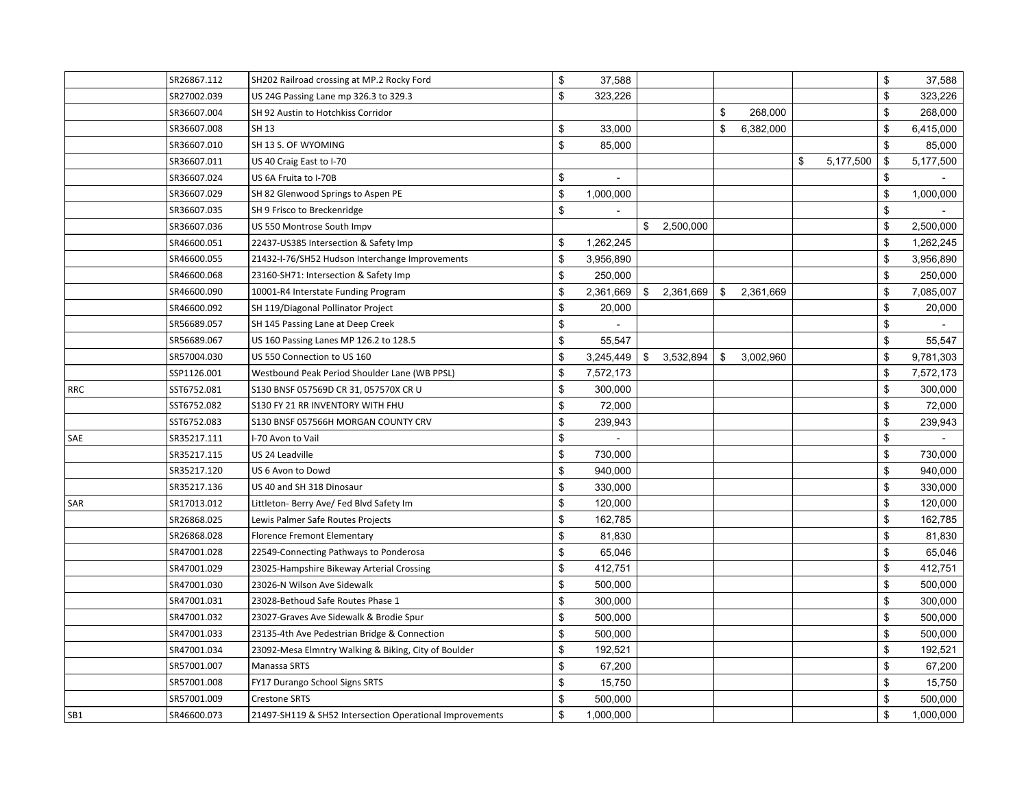|     | SR26867.112 | SH202 Railroad crossing at MP.2 Rocky Ford               | \$  | 37,588    |                 |                |           |                 | \$           | 37,588    |
|-----|-------------|----------------------------------------------------------|-----|-----------|-----------------|----------------|-----------|-----------------|--------------|-----------|
|     | SR27002.039 | US 24G Passing Lane mp 326.3 to 329.3                    | \$  | 323,226   |                 |                |           |                 | \$           | 323,226   |
|     | SR36607.004 | SH 92 Austin to Hotchkiss Corridor                       |     |           |                 | $\mathfrak{F}$ | 268,000   |                 | \$           | 268,000   |
|     | SR36607.008 | SH 13                                                    | \$  | 33,000    |                 | \$             | 6,382,000 |                 | \$           | 6,415,000 |
|     | SR36607.010 | SH 13 S. OF WYOMING                                      | \$  | 85,000    |                 |                |           |                 | \$           | 85,000    |
|     | SR36607.011 | US 40 Craig East to I-70                                 |     |           |                 |                |           | \$<br>5,177,500 | \$           | 5,177,500 |
|     | SR36607.024 | US 6A Fruita to I-70B                                    | \$  |           |                 |                |           |                 | \$           |           |
|     | SR36607.029 | SH 82 Glenwood Springs to Aspen PE                       | \$  | 1,000,000 |                 |                |           |                 | \$           | 1,000,000 |
|     | SR36607.035 | SH 9 Frisco to Breckenridge                              | \$  |           |                 |                |           |                 | \$           |           |
|     | SR36607.036 | US 550 Montrose South Impv                               |     |           | \$<br>2,500,000 |                |           |                 | \$           | 2,500,000 |
|     | SR46600.051 | 22437-US385 Intersection & Safety Imp                    | \$  | 1,262,245 |                 |                |           |                 | \$           | 1,262,245 |
|     | SR46600.055 | 21432-I-76/SH52 Hudson Interchange Improvements          | \$  | 3,956,890 |                 |                |           |                 | \$           | 3,956,890 |
|     | SR46600.068 | 23160-SH71: Intersection & Safety Imp                    | \$  | 250,000   |                 |                |           |                 | \$           | 250,000   |
|     | SR46600.090 | 10001-R4 Interstate Funding Program                      | \$  | 2,361,669 | \$<br>2,361,669 | \$             | 2,361,669 |                 | \$           | 7,085,007 |
|     | SR46600.092 | SH 119/Diagonal Pollinator Project                       | \$  | 20,000    |                 |                |           |                 | \$           | 20,000    |
|     | SR56689.057 | SH 145 Passing Lane at Deep Creek                        | \$  |           |                 |                |           |                 | $\mathbb{S}$ |           |
|     | SR56689.067 | US 160 Passing Lanes MP 126.2 to 128.5                   | \$  | 55,547    |                 |                |           |                 | \$           | 55,547    |
|     | SR57004.030 | US 550 Connection to US 160                              | \$  | 3,245,449 | \$<br>3,532,894 | \$             | 3,002,960 |                 | \$           | 9,781,303 |
|     | SSP1126.001 | Westbound Peak Period Shoulder Lane (WB PPSL)            | \$  | 7,572,173 |                 |                |           |                 | \$           | 7,572,173 |
| RRC | SST6752.081 | S130 BNSF 057569D CR 31, 057570X CR U                    | \$. | 300,000   |                 |                |           |                 | \$           | 300,000   |
|     | SST6752.082 | S130 FY 21 RR INVENTORY WITH FHU                         | \$  | 72,000    |                 |                |           |                 | \$           | 72,000    |
|     | SST6752.083 | S130 BNSF 057566H MORGAN COUNTY CRV                      | \$  | 239,943   |                 |                |           |                 | \$           | 239,943   |
| SAE | SR35217.111 | I-70 Avon to Vail                                        | \$  | $\sim$    |                 |                |           |                 | \$           |           |
|     | SR35217.115 | US 24 Leadville                                          | \$  | 730,000   |                 |                |           |                 | \$           | 730,000   |
|     | SR35217.120 | US 6 Avon to Dowd                                        | \$  | 940,000   |                 |                |           |                 | \$           | 940,000   |
|     | SR35217.136 | US 40 and SH 318 Dinosaur                                | \$  | 330,000   |                 |                |           |                 | \$           | 330,000   |
| SAR | SR17013.012 | Littleton- Berry Ave/ Fed Blvd Safety Im                 | \$  | 120,000   |                 |                |           |                 | \$           | 120,000   |
|     | SR26868.025 | Lewis Palmer Safe Routes Projects                        | \$  | 162,785   |                 |                |           |                 | \$           | 162,785   |
|     | SR26868.028 | Florence Fremont Elementary                              | \$  | 81,830    |                 |                |           |                 | \$           | 81,830    |
|     | SR47001.028 | 22549-Connecting Pathways to Ponderosa                   | \$  | 65,046    |                 |                |           |                 | \$           | 65,046    |
|     | SR47001.029 | 23025-Hampshire Bikeway Arterial Crossing                | \$  | 412,751   |                 |                |           |                 | \$           | 412,751   |
|     | SR47001.030 | 23026-N Wilson Ave Sidewalk                              | \$  | 500,000   |                 |                |           |                 | \$           | 500,000   |
|     | SR47001.031 | 23028-Bethoud Safe Routes Phase 1                        | \$  | 300,000   |                 |                |           |                 | \$           | 300,000   |
|     | SR47001.032 | 23027-Graves Ave Sidewalk & Brodie Spur                  | \$  | 500,000   |                 |                |           |                 | \$           | 500,000   |
|     | SR47001.033 | 23135-4th Ave Pedestrian Bridge & Connection             | \$  | 500,000   |                 |                |           |                 | \$           | 500,000   |
|     | SR47001.034 | 23092-Mesa Elmntry Walking & Biking, City of Boulder     | \$  | 192,521   |                 |                |           |                 | \$           | 192,521   |
|     | SR57001.007 | Manassa SRTS                                             | \$  | 67,200    |                 |                |           |                 | \$           | 67,200    |
|     | SR57001.008 | FY17 Durango School Signs SRTS                           | \$  | 15,750    |                 |                |           |                 | \$           | 15,750    |
|     | SR57001.009 | <b>Crestone SRTS</b>                                     | \$  | 500,000   |                 |                |           |                 | \$           | 500,000   |
| SB1 | SR46600.073 | 21497-SH119 & SH52 Intersection Operational Improvements | \$  | 1,000,000 |                 |                |           |                 | \$           | 1,000,000 |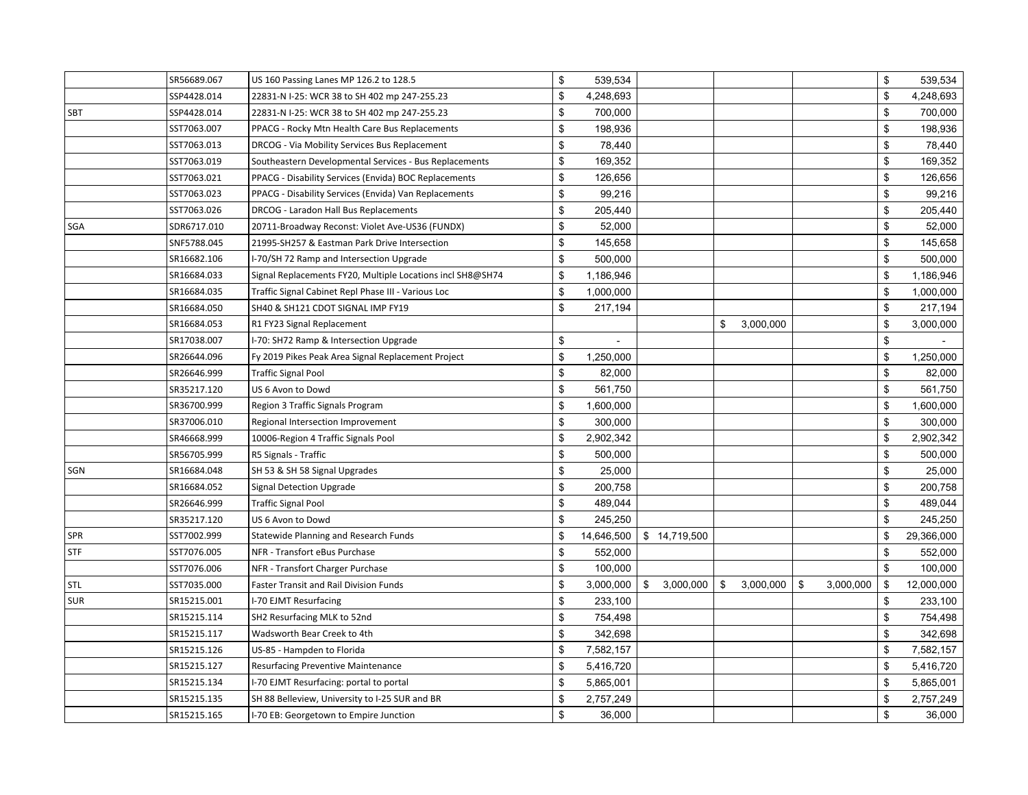|            | SR56689.067 | US 160 Passing Lanes MP 126.2 to 128.5                     | \$<br>539,534    |                 |                 |                 | \$           | 539,534    |
|------------|-------------|------------------------------------------------------------|------------------|-----------------|-----------------|-----------------|--------------|------------|
|            | SSP4428.014 | 22831-N I-25: WCR 38 to SH 402 mp 247-255.23               | \$<br>4,248,693  |                 |                 |                 | \$           | 4,248,693  |
| SBT        | SSP4428.014 | 22831-N I-25: WCR 38 to SH 402 mp 247-255.23               | \$<br>700,000    |                 |                 |                 | \$           | 700,000    |
|            | SST7063.007 | PPACG - Rocky Mtn Health Care Bus Replacements             | \$<br>198,936    |                 |                 |                 | $\mathbb{S}$ | 198,936    |
|            | SST7063.013 | DRCOG - Via Mobility Services Bus Replacement              | \$<br>78,440     |                 |                 |                 | \$           | 78,440     |
|            | SST7063.019 | Southeastern Developmental Services - Bus Replacements     | \$<br>169,352    |                 |                 |                 | \$           | 169,352    |
|            | SST7063.021 | PPACG - Disability Services (Envida) BOC Replacements      | \$<br>126,656    |                 |                 |                 | \$           | 126,656    |
|            | SST7063.023 | PPACG - Disability Services (Envida) Van Replacements      | \$<br>99,216     |                 |                 |                 | \$           | 99,216     |
|            | SST7063.026 | DRCOG - Laradon Hall Bus Replacements                      | \$<br>205,440    |                 |                 |                 | \$           | 205,440    |
| <b>SGA</b> | SDR6717.010 | 20711-Broadway Reconst: Violet Ave-US36 (FUNDX)            | \$<br>52,000     |                 |                 |                 | \$           | 52,000     |
|            | SNF5788.045 | 21995-SH257 & Eastman Park Drive Intersection              | \$<br>145,658    |                 |                 |                 | \$           | 145,658    |
|            | SR16682.106 | I-70/SH 72 Ramp and Intersection Upgrade                   | \$<br>500,000    |                 |                 |                 | \$           | 500,000    |
|            | SR16684.033 | Signal Replacements FY20, Multiple Locations incl SH8@SH74 | \$<br>1,186,946  |                 |                 |                 | \$           | 1,186,946  |
|            | SR16684.035 | Traffic Signal Cabinet Repl Phase III - Various Loc        | \$<br>1,000,000  |                 |                 |                 | \$           | 1,000,000  |
|            | SR16684.050 | SH40 & SH121 CDOT SIGNAL IMP FY19                          | \$<br>217,194    |                 |                 |                 | \$           | 217,194    |
|            | SR16684.053 | R1 FY23 Signal Replacement                                 |                  |                 | \$<br>3,000,000 |                 | \$           | 3,000,000  |
|            | SR17038.007 | I-70: SH72 Ramp & Intersection Upgrade                     | \$               |                 |                 |                 | \$           |            |
|            | SR26644.096 | Fy 2019 Pikes Peak Area Signal Replacement Project         | \$<br>1,250,000  |                 |                 |                 | \$           | 1,250,000  |
|            | SR26646.999 | <b>Traffic Signal Pool</b>                                 | \$<br>82,000     |                 |                 |                 | \$           | 82,000     |
|            | SR35217.120 | US 6 Avon to Dowd                                          | \$<br>561,750    |                 |                 |                 | \$           | 561,750    |
|            | SR36700.999 | Region 3 Traffic Signals Program                           | \$<br>1,600,000  |                 |                 |                 | \$           | 1,600,000  |
|            | SR37006.010 | Regional Intersection Improvement                          | \$<br>300,000    |                 |                 |                 | \$           | 300,000    |
|            | SR46668.999 | 10006-Region 4 Traffic Signals Pool                        | \$<br>2,902,342  |                 |                 |                 | \$           | 2,902,342  |
|            | SR56705.999 | R5 Signals - Traffic                                       | \$<br>500,000    |                 |                 |                 | \$           | 500,000    |
| SGN        | SR16684.048 | SH 53 & SH 58 Signal Upgrades                              | \$<br>25,000     |                 |                 |                 | \$           | 25,000     |
|            | SR16684.052 | <b>Signal Detection Upgrade</b>                            | \$<br>200,758    |                 |                 |                 | \$           | 200,758    |
|            | SR26646.999 | <b>Traffic Signal Pool</b>                                 | \$<br>489,044    |                 |                 |                 | \$           | 489,044    |
|            | SR35217.120 | US 6 Avon to Dowd                                          | \$<br>245,250    |                 |                 |                 | \$           | 245,250    |
| <b>SPR</b> | SST7002.999 | Statewide Planning and Research Funds                      | \$<br>14,646,500 | \$14,719,500    |                 |                 | \$           | 29,366,000 |
| <b>STF</b> | SST7076.005 | NFR - Transfort eBus Purchase                              | \$<br>552,000    |                 |                 |                 | \$           | 552,000    |
|            | SST7076.006 | NFR - Transfort Charger Purchase                           | \$<br>100,000    |                 |                 |                 | \$           | 100,000    |
| <b>STL</b> | SST7035.000 | Faster Transit and Rail Division Funds                     | \$<br>3,000,000  | \$<br>3,000,000 | \$<br>3,000,000 | \$<br>3,000,000 | \$           | 12,000,000 |
| <b>SUR</b> | SR15215.001 | I-70 EJMT Resurfacing                                      | \$<br>233,100    |                 |                 |                 | \$           | 233,100    |
|            | SR15215.114 | SH2 Resurfacing MLK to 52nd                                | \$<br>754,498    |                 |                 |                 | \$           | 754,498    |
|            | SR15215.117 | Wadsworth Bear Creek to 4th                                | \$<br>342,698    |                 |                 |                 | \$           | 342,698    |
|            | SR15215.126 | US-85 - Hampden to Florida                                 | \$<br>7,582,157  |                 |                 |                 | \$           | 7,582,157  |
|            | SR15215.127 | <b>Resurfacing Preventive Maintenance</b>                  | \$<br>5,416,720  |                 |                 |                 | \$           | 5,416,720  |
|            | SR15215.134 | I-70 EJMT Resurfacing: portal to portal                    | \$<br>5,865,001  |                 |                 |                 | \$           | 5,865,001  |
|            | SR15215.135 | SH 88 Belleview, University to I-25 SUR and BR             | \$<br>2,757,249  |                 |                 |                 | \$           | 2,757,249  |
|            | SR15215.165 | I-70 EB: Georgetown to Empire Junction                     | \$<br>36,000     |                 |                 |                 | \$           | 36,000     |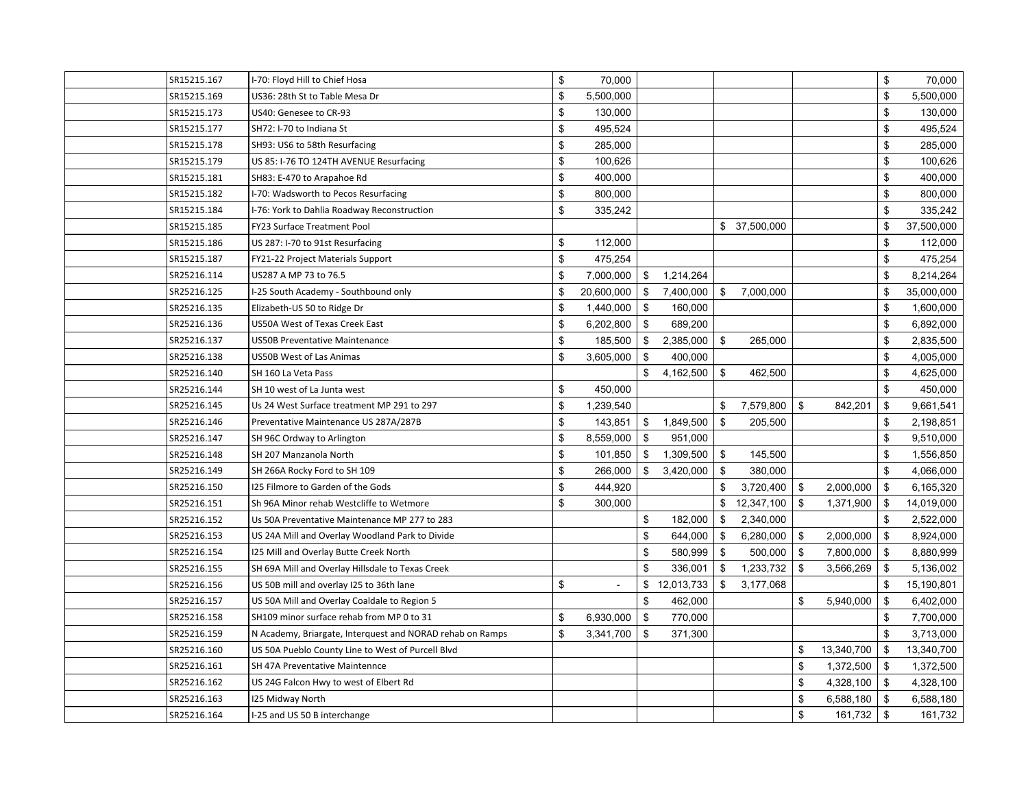| SR15215.167 | I-70: Floyd Hill to Chief Hosa                            | \$<br>70,000     |      |            |                |              |                  | \$   | 70,000     |
|-------------|-----------------------------------------------------------|------------------|------|------------|----------------|--------------|------------------|------|------------|
| SR15215.169 | US36: 28th St to Table Mesa Dr                            | \$<br>5,500,000  |      |            |                |              |                  | \$   | 5,500,000  |
| SR15215.173 | US40: Genesee to CR-93                                    | \$<br>130,000    |      |            |                |              |                  | \$   | 130,000    |
| SR15215.177 | SH72: I-70 to Indiana St                                  | \$<br>495,524    |      |            |                |              |                  | \$   | 495,524    |
| SR15215.178 | SH93: US6 to 58th Resurfacing                             | \$<br>285,000    |      |            |                |              |                  | \$   | 285,000    |
| SR15215.179 | US 85: I-76 TO 124TH AVENUE Resurfacing                   | \$<br>100,626    |      |            |                |              |                  | \$   | 100,626    |
| SR15215.181 | SH83: E-470 to Arapahoe Rd                                | \$<br>400,000    |      |            |                |              |                  | \$   | 400,000    |
| SR15215.182 | I-70: Wadsworth to Pecos Resurfacing                      | \$<br>800,000    |      |            |                |              |                  | \$   | 800,000    |
| SR15215.184 | I-76: York to Dahlia Roadway Reconstruction               | \$<br>335,242    |      |            |                |              |                  | \$   | 335,242    |
| SR15215.185 | FY23 Surface Treatment Pool                               |                  |      |            |                | \$37,500,000 |                  | \$   | 37,500,000 |
| SR15215.186 | US 287: I-70 to 91st Resurfacing                          | \$<br>112,000    |      |            |                |              |                  | \$   | 112,000    |
| SR15215.187 | FY21-22 Project Materials Support                         | \$<br>475,254    |      |            |                |              |                  | \$   | 475,254    |
| SR25216.114 | US287 A MP 73 to 76.5                                     | \$<br>7,000,000  | \$   | 1,214,264  |                |              |                  | \$   | 8,214,264  |
| SR25216.125 | I-25 South Academy - Southbound only                      | \$<br>20,600,000 | \$   | 7,400,000  | \$             | 7,000,000    |                  | \$   | 35,000,000 |
| SR25216.135 | Elizabeth-US 50 to Ridge Dr                               | \$<br>1,440,000  | -\$  | 160,000    |                |              |                  | \$   | 1,600,000  |
| SR25216.136 | US50A West of Texas Creek East                            | \$<br>6,202,800  | \$   | 689,200    |                |              |                  | \$   | 6,892,000  |
| SR25216.137 | <b>US50B Preventative Maintenance</b>                     | \$<br>185,500    | - \$ | 2,385,000  | $\mathfrak{F}$ | 265,000      |                  | \$   | 2,835,500  |
| SR25216.138 | <b>US50B West of Las Animas</b>                           | \$<br>3,605,000  | \$   | 400,000    |                |              |                  | \$   | 4,005,000  |
| SR25216.140 | SH 160 La Veta Pass                                       |                  | \$   | 4,162,500  | $\mathfrak{F}$ | 462,500      |                  | \$   | 4,625,000  |
| SR25216.144 | SH 10 west of La Junta west                               | \$<br>450,000    |      |            |                |              |                  | \$   | 450,000    |
| SR25216.145 | Us 24 West Surface treatment MP 291 to 297                | \$<br>1,239,540  |      |            | \$             | 7,579,800    | \$<br>842,201    | \$   | 9,661,541  |
| SR25216.146 | Preventative Maintenance US 287A/287B                     | \$<br>143,851    | \$   | 1,849,500  | \$             | 205,500      |                  | \$   | 2,198,851  |
| SR25216.147 | SH 96C Ordway to Arlington                                | \$<br>8,559,000  | - \$ | 951,000    |                |              |                  | \$   | 9,510,000  |
| SR25216.148 | SH 207 Manzanola North                                    | \$<br>101,850    | \$   | 1,309,500  | \$             | 145,500      |                  | \$   | 1,556,850  |
| SR25216.149 | SH 266A Rocky Ford to SH 109                              | \$<br>266,000    | \$   | 3,420,000  | \$             | 380,000      |                  | \$   | 4,066,000  |
| SR25216.150 | I25 Filmore to Garden of the Gods                         | \$<br>444,920    |      |            | \$             | 3,720,400    | \$<br>2,000,000  | \$   | 6,165,320  |
| SR25216.151 | Sh 96A Minor rehab Westcliffe to Wetmore                  | \$<br>300,000    |      |            | \$             | 12,347,100   | \$<br>1,371,900  | \$   | 14,019,000 |
| SR25216.152 | Us 50A Preventative Maintenance MP 277 to 283             |                  | \$   | 182,000    | \$             | 2,340,000    |                  | \$   | 2,522,000  |
| SR25216.153 | US 24A Mill and Overlay Woodland Park to Divide           |                  | \$   | 644,000    | \$             | 6,280,000    | \$<br>2,000,000  | -\$  | 8,924,000  |
| SR25216.154 | 125 Mill and Overlay Butte Creek North                    |                  | \$   | 580,999    | \$             | 500,000      | \$<br>7,800,000  | \$   | 8,880,999  |
| SR25216.155 | SH 69A Mill and Overlay Hillsdale to Texas Creek          |                  | \$   | 336,001    | \$             | 1,233,732    | \$<br>3,566,269  | -\$  | 5,136,002  |
| SR25216.156 | US 50B mill and overlay I25 to 36th lane                  | \$<br>$\sim$     | \$   | 12,013,733 | \$             | 3,177,068    |                  | \$   | 15,190,801 |
| SR25216.157 | US 50A Mill and Overlay Coaldale to Region 5              |                  | \$   | 462,000    |                |              | \$<br>5,940,000  | \$   | 6,402,000  |
| SR25216.158 | SH109 minor surface rehab from MP 0 to 31                 | \$<br>6,930,000  | \$   | 770,000    |                |              |                  | \$   | 7,700,000  |
| SR25216.159 | N Academy, Briargate, Interquest and NORAD rehab on Ramps | \$<br>3,341,700  | \$   | 371,300    |                |              |                  | \$   | 3,713,000  |
| SR25216.160 | US 50A Pueblo County Line to West of Purcell Blvd         |                  |      |            |                |              | \$<br>13,340,700 | \$   | 13,340,700 |
| SR25216.161 | SH 47A Preventative Maintennce                            |                  |      |            |                |              | \$<br>1,372,500  | -\$  | 1,372,500  |
| SR25216.162 | US 24G Falcon Hwy to west of Elbert Rd                    |                  |      |            |                |              | \$<br>4,328,100  | -\$  | 4,328,100  |
| SR25216.163 | I25 Midway North                                          |                  |      |            |                |              | \$<br>6,588,180  | - \$ | 6,588,180  |
| SR25216.164 | I-25 and US 50 B interchange                              |                  |      |            |                |              | \$<br>161,732    | \$   | 161,732    |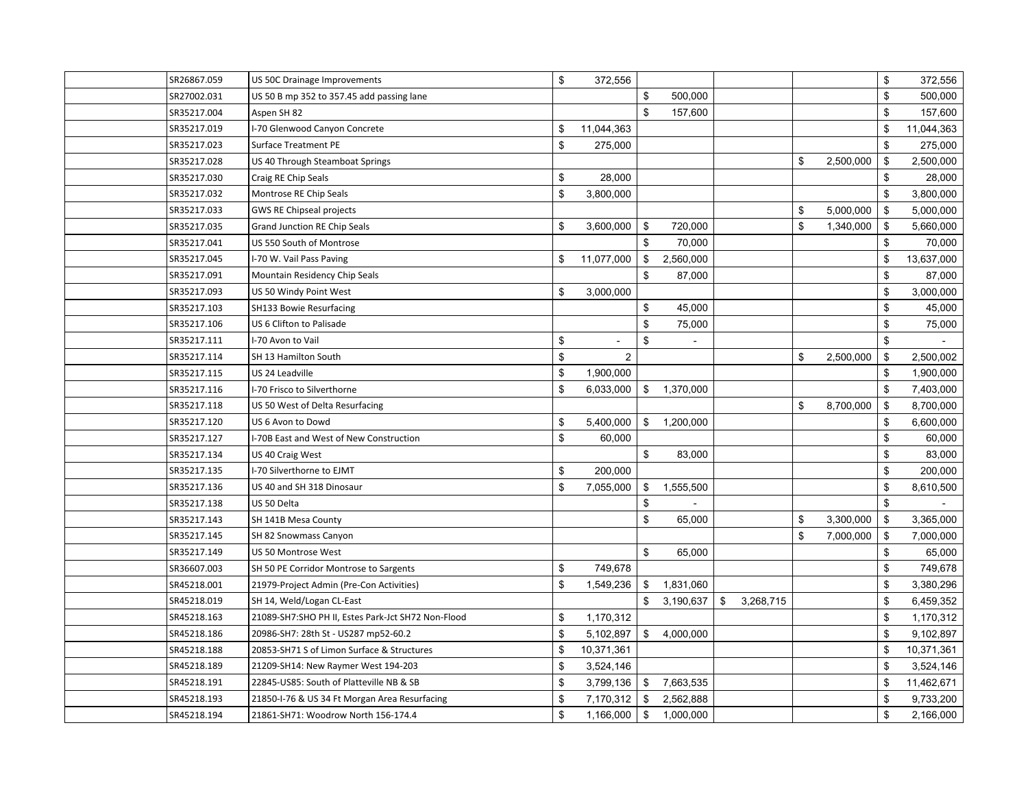| SR26867.059 | US 50C Drainage Improvements                       | \$  | 372,556        |               |           |                 |                 | \$           | 372,556    |
|-------------|----------------------------------------------------|-----|----------------|---------------|-----------|-----------------|-----------------|--------------|------------|
| SR27002.031 | US 50 B mp 352 to 357.45 add passing lane          |     |                | \$            | 500,000   |                 |                 | \$           | 500,000    |
| SR35217.004 | Aspen SH 82                                        |     |                | $\mathbf{s}$  | 157,600   |                 |                 | $\mathbb{S}$ | 157,600    |
| SR35217.019 | I-70 Glenwood Canyon Concrete                      | \$  | 11,044,363     |               |           |                 |                 | \$           | 11,044,363 |
| SR35217.023 | <b>Surface Treatment PE</b>                        | \$  | 275,000        |               |           |                 |                 | \$           | 275,000    |
| SR35217.028 | US 40 Through Steamboat Springs                    |     |                |               |           |                 | \$<br>2,500,000 | \$           | 2,500,000  |
| SR35217.030 | Craig RE Chip Seals                                | \$  | 28,000         |               |           |                 |                 | \$           | 28,000     |
| SR35217.032 | Montrose RE Chip Seals                             | \$  | 3,800,000      |               |           |                 |                 | \$           | 3,800,000  |
| SR35217.033 | <b>GWS RE Chipseal projects</b>                    |     |                |               |           |                 | \$<br>5,000,000 | \$           | 5,000,000  |
| SR35217.035 | Grand Junction RE Chip Seals                       | \$  | 3,600,000      | \$            | 720,000   |                 | \$<br>1,340,000 | \$           | 5,660,000  |
| SR35217.041 | US 550 South of Montrose                           |     |                | \$            | 70,000    |                 |                 | \$           | 70,000     |
| SR35217.045 | I-70 W. Vail Pass Paving                           | \$  | 11,077,000     | \$            | 2,560,000 |                 |                 | \$           | 13,637,000 |
| SR35217.091 | Mountain Residency Chip Seals                      |     |                | \$            | 87,000    |                 |                 | \$           | 87,000     |
| SR35217.093 | US 50 Windy Point West                             | \$  | 3,000,000      |               |           |                 |                 | \$           | 3,000,000  |
| SR35217.103 | SH133 Bowie Resurfacing                            |     |                | $\mathfrak s$ | 45,000    |                 |                 | \$           | 45,000     |
| SR35217.106 | US 6 Clifton to Palisade                           |     |                | \$            | 75,000    |                 |                 | \$           | 75,000     |
| SR35217.111 | I-70 Avon to Vail                                  | \$  |                | \$            |           |                 |                 | \$           |            |
| SR35217.114 | SH 13 Hamilton South                               | \$  | $\overline{2}$ |               |           |                 | \$<br>2,500,000 | \$           | 2,500,002  |
| SR35217.115 | US 24 Leadville                                    | \$  | 1,900,000      |               |           |                 |                 | \$           | 1,900,000  |
| SR35217.116 | I-70 Frisco to Silverthorne                        | \$  | 6,033,000      | \$            | 1,370,000 |                 |                 | \$           | 7,403,000  |
| SR35217.118 | US 50 West of Delta Resurfacing                    |     |                |               |           |                 | \$<br>8,700,000 | \$           | 8,700,000  |
| SR35217.120 | US 6 Avon to Dowd                                  | \$  | 5,400,000      | \$            | 1,200,000 |                 |                 | \$           | 6,600,000  |
| SR35217.127 | I-70B East and West of New Construction            | \$  | 60,000         |               |           |                 |                 | \$           | 60,000     |
| SR35217.134 | US 40 Craig West                                   |     |                | \$            | 83,000    |                 |                 | \$           | 83,000     |
| SR35217.135 | I-70 Silverthorne to EJMT                          | \$  | 200,000        |               |           |                 |                 | \$           | 200,000    |
| SR35217.136 | US 40 and SH 318 Dinosaur                          | \$  | 7,055,000      | \$            | 1,555,500 |                 |                 | \$           | 8,610,500  |
| SR35217.138 | US 50 Delta                                        |     |                | \$            |           |                 |                 | \$           |            |
| SR35217.143 | SH 141B Mesa County                                |     |                | $\mathfrak s$ | 65,000    |                 | \$<br>3,300,000 | \$           | 3,365,000  |
| SR35217.145 | SH 82 Snowmass Canyon                              |     |                |               |           |                 | \$<br>7,000,000 | \$           | 7,000,000  |
| SR35217.149 | US 50 Montrose West                                |     |                | $\mathfrak s$ | 65,000    |                 |                 | \$           | 65,000     |
| SR36607.003 | SH 50 PE Corridor Montrose to Sargents             | \$  | 749,678        |               |           |                 |                 | \$           | 749,678    |
| SR45218.001 | 21979-Project Admin (Pre-Con Activities)           | \$  | 1,549,236      | \$            | 1,831,060 |                 |                 | \$           | 3,380,296  |
| SR45218.019 | SH 14, Weld/Logan CL-East                          |     |                | \$            | 3,190,637 | \$<br>3,268,715 |                 | \$           | 6,459,352  |
| SR45218.163 | 21089-SH7:SHO PH II, Estes Park-Jct SH72 Non-Flood | \$  | 1,170,312      |               |           |                 |                 | \$           | 1,170,312  |
| SR45218.186 | 20986-SH7: 28th St - US287 mp52-60.2               | \$. | 5,102,897      | $\mathbb{S}$  | 4,000,000 |                 |                 | \$           | 9,102,897  |
| SR45218.188 | 20853-SH71 S of Limon Surface & Structures         | \$  | 10,371,361     |               |           |                 |                 | \$           | 10,371,361 |
| SR45218.189 | 21209-SH14: New Raymer West 194-203                | \$  | 3,524,146      |               |           |                 |                 | \$           | 3,524,146  |
| SR45218.191 | 22845-US85: South of Platteville NB & SB           | \$  | 3,799,136      | \$            | 7,663,535 |                 |                 | \$           | 11,462,671 |
| SR45218.193 | 21850-I-76 & US 34 Ft Morgan Area Resurfacing      | \$  | 7,170,312      | \$            | 2,562,888 |                 |                 | \$           | 9,733,200  |
| SR45218.194 | 21861-SH71: Woodrow North 156-174.4                | \$  | 1,166,000      | \$            | 1,000,000 |                 |                 | \$           | 2,166,000  |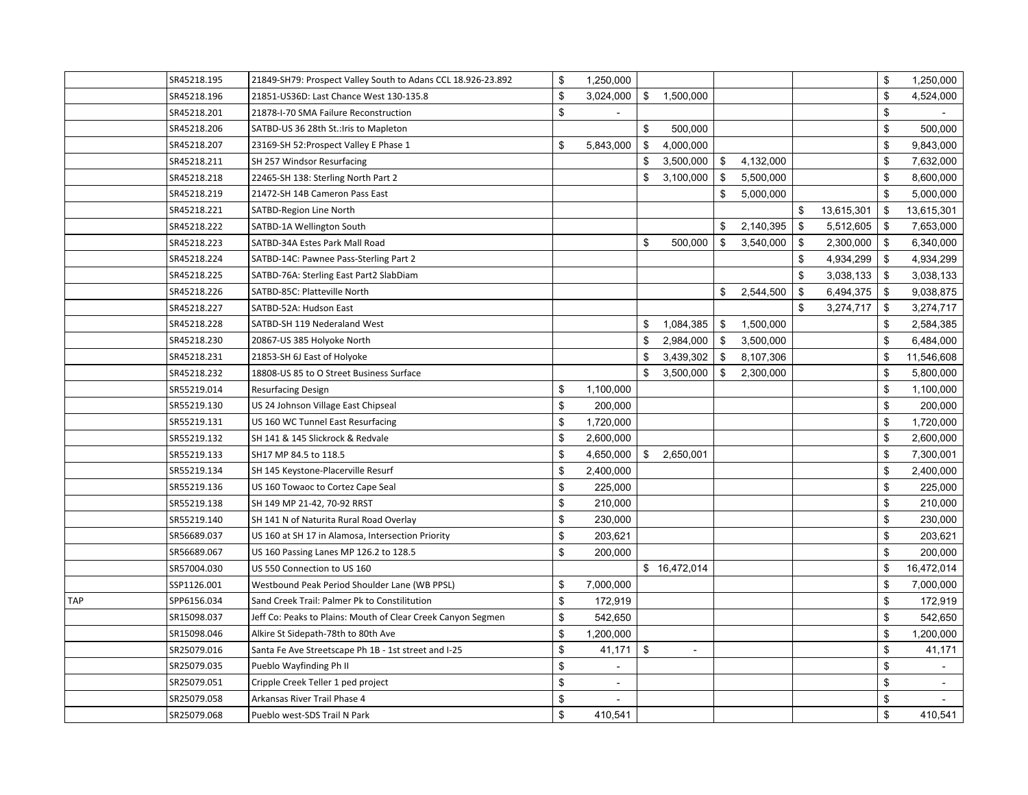|            | SR45218.195 | 21849-SH79: Prospect Valley South to Adans CCL 18.926-23.892 | \$<br>1,250,000      |                                |                 |                  | \$           | 1,250,000  |
|------------|-------------|--------------------------------------------------------------|----------------------|--------------------------------|-----------------|------------------|--------------|------------|
|            | SR45218.196 | 21851-US36D: Last Chance West 130-135.8                      | \$<br>3,024,000      | \$<br>1,500,000                |                 |                  | \$           | 4,524,000  |
|            | SR45218.201 | 21878-I-70 SMA Failure Reconstruction                        | \$                   |                                |                 |                  | \$           |            |
|            | SR45218.206 | SATBD-US 36 28th St.: Iris to Mapleton                       |                      | \$<br>500,000                  |                 |                  | \$           | 500,000    |
|            | SR45218.207 | 23169-SH 52: Prospect Valley E Phase 1                       | \$<br>5,843,000      | \$<br>4,000,000                |                 |                  | \$           | 9,843,000  |
|            | SR45218.211 | SH 257 Windsor Resurfacing                                   |                      | \$<br>3,500,000                | \$<br>4,132,000 |                  | \$           | 7,632,000  |
|            | SR45218.218 | 22465-SH 138: Sterling North Part 2                          |                      | \$<br>3,100,000                | \$<br>5,500,000 |                  | \$           | 8,600,000  |
|            | SR45218.219 | 21472-SH 14B Cameron Pass East                               |                      |                                | \$<br>5,000,000 |                  | \$           | 5,000,000  |
|            | SR45218.221 | SATBD-Region Line North                                      |                      |                                |                 | \$<br>13,615,301 | \$           | 13,615,301 |
|            | SR45218.222 | SATBD-1A Wellington South                                    |                      |                                | \$<br>2,140,395 | \$<br>5,512,605  | \$           | 7,653,000  |
|            | SR45218.223 | SATBD-34A Estes Park Mall Road                               |                      | \$<br>500,000                  | \$<br>3,540,000 | \$<br>2,300,000  | -\$          | 6,340,000  |
|            | SR45218.224 | SATBD-14C: Pawnee Pass-Sterling Part 2                       |                      |                                |                 | \$<br>4,934,299  | \$           | 4,934,299  |
|            | SR45218.225 | SATBD-76A: Sterling East Part2 SlabDiam                      |                      |                                |                 | \$<br>3,038,133  | \$           | 3,038,133  |
|            | SR45218.226 | SATBD-85C: Platteville North                                 |                      |                                | \$<br>2,544,500 | \$<br>6,494,375  | \$           | 9,038,875  |
|            | SR45218.227 | SATBD-52A: Hudson East                                       |                      |                                |                 | \$<br>3,274,717  | \$           | 3,274,717  |
|            | SR45218.228 | SATBD-SH 119 Nederaland West                                 |                      | \$<br>1,084,385                | \$<br>1,500,000 |                  | \$           | 2,584,385  |
|            | SR45218.230 | 20867-US 385 Holyoke North                                   |                      | \$<br>2,984,000                | \$<br>3,500,000 |                  | \$           | 6,484,000  |
|            | SR45218.231 | 21853-SH 6J East of Holyoke                                  |                      | \$<br>3,439,302                | \$<br>8,107,306 |                  | \$           | 11,546,608 |
|            | SR45218.232 | 18808-US 85 to O Street Business Surface                     |                      | \$<br>3,500,000                | \$<br>2,300,000 |                  | \$           | 5,800,000  |
|            | SR55219.014 | Resurfacing Design                                           | \$<br>1,100,000      |                                |                 |                  | \$           | 1,100,000  |
|            | SR55219.130 | US 24 Johnson Village East Chipseal                          | \$<br>200,000        |                                |                 |                  | \$           | 200,000    |
|            | SR55219.131 | US 160 WC Tunnel East Resurfacing                            | \$<br>1,720,000      |                                |                 |                  | \$           | 1,720,000  |
|            | SR55219.132 | SH 141 & 145 Slickrock & Redvale                             | \$<br>2,600,000      |                                |                 |                  | \$           | 2,600,000  |
|            | SR55219.133 | SH17 MP 84.5 to 118.5                                        | \$<br>4,650,000      | \$<br>2,650,001                |                 |                  | \$           | 7,300,001  |
|            | SR55219.134 | SH 145 Keystone-Placerville Resurf                           | \$<br>2,400,000      |                                |                 |                  | \$           | 2,400,000  |
|            | SR55219.136 | US 160 Towaoc to Cortez Cape Seal                            | \$<br>225,000        |                                |                 |                  | $\mathbb{S}$ | 225,000    |
|            | SR55219.138 | SH 149 MP 21-42, 70-92 RRST                                  | \$<br>210,000        |                                |                 |                  | \$           | 210,000    |
|            | SR55219.140 | SH 141 N of Naturita Rural Road Overlay                      | \$<br>230,000        |                                |                 |                  | $\mathbb{S}$ | 230,000    |
|            | SR56689.037 | US 160 at SH 17 in Alamosa, Intersection Priority            | \$<br>203,621        |                                |                 |                  | \$           | 203,621    |
|            | SR56689.067 | US 160 Passing Lanes MP 126.2 to 128.5                       | \$<br>200,000        |                                |                 |                  | \$           | 200,000    |
|            | SR57004.030 | US 550 Connection to US 160                                  |                      | \$16,472,014                   |                 |                  | \$           | 16,472,014 |
|            | SSP1126.001 | Westbound Peak Period Shoulder Lane (WB PPSL)                | \$<br>7,000,000      |                                |                 |                  | \$           | 7,000,000  |
| <b>TAP</b> | SPP6156.034 | Sand Creek Trail: Palmer Pk to Constilitution                | \$<br>172,919        |                                |                 |                  | \$           | 172,919    |
|            | SR15098.037 | Jeff Co: Peaks to Plains: Mouth of Clear Creek Canyon Segmen | \$<br>542,650        |                                |                 |                  | \$           | 542,650    |
|            | SR15098.046 | Alkire St Sidepath-78th to 80th Ave                          | \$<br>1,200,000      |                                |                 |                  | \$           | 1,200,000  |
|            | SR25079.016 | Santa Fe Ave Streetscape Ph 1B - 1st street and I-25         | \$<br>41,171         | \$<br>$\overline{\phantom{a}}$ |                 |                  | \$           | 41,171     |
|            | SR25079.035 | Pueblo Wayfinding Ph II                                      | \$                   |                                |                 |                  | \$           |            |
|            | SR25079.051 | Cripple Creek Teller 1 ped project                           | \$<br>$\sim$         |                                |                 |                  | \$           |            |
|            | SR25079.058 | Arkansas River Trail Phase 4                                 | \$<br>$\blacksquare$ |                                |                 |                  | \$           |            |
|            | SR25079.068 | Pueblo west-SDS Trail N Park                                 | \$<br>410,541        |                                |                 |                  | \$           | 410,541    |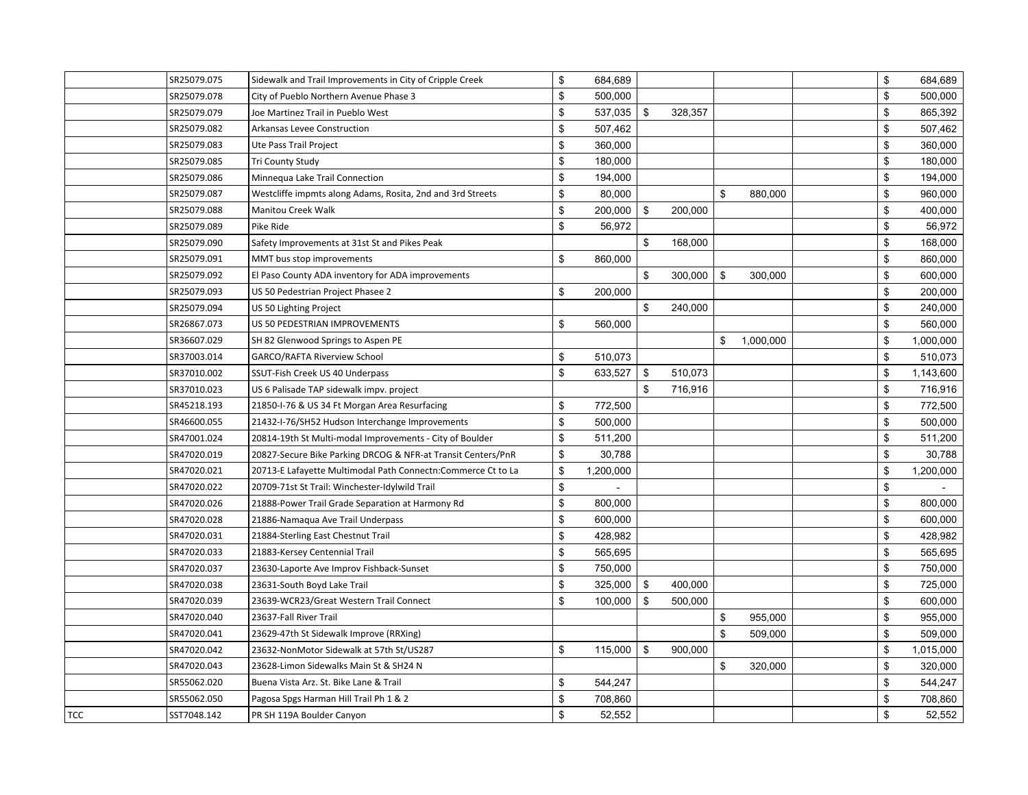|     | SR25079.075 | Sidewalk and Trail Improvements in City of Cripple Creek      | \$<br>684,689   |               |                 | \$           | 684,689   |
|-----|-------------|---------------------------------------------------------------|-----------------|---------------|-----------------|--------------|-----------|
|     | SR25079.078 | City of Pueblo Northern Avenue Phase 3                        | \$<br>500,000   |               |                 | \$           | 500,000   |
|     | SR25079.079 | Joe Martinez Trail in Pueblo West                             | \$<br>537,035   | \$<br>328,357 |                 | \$           | 865,392   |
|     | SR25079.082 | Arkansas Levee Construction                                   | \$<br>507,462   |               |                 | \$           | 507,462   |
|     | SR25079.083 | Ute Pass Trail Project                                        | \$<br>360,000   |               |                 | \$           | 360,000   |
|     | SR25079.085 | <b>Tri County Study</b>                                       | \$<br>180,000   |               |                 | \$           | 180,000   |
|     | SR25079.086 | Minnequa Lake Trail Connection                                | \$<br>194,000   |               |                 | \$           | 194,000   |
|     | SR25079.087 | Westcliffe impmts along Adams, Rosita, 2nd and 3rd Streets    | \$<br>80,000    |               | \$<br>880,000   | \$           | 960,000   |
|     | SR25079.088 | Manitou Creek Walk                                            | \$<br>200,000   | \$<br>200,000 |                 | \$           | 400,000   |
|     | SR25079.089 | Pike Ride                                                     | \$<br>56,972    |               |                 | \$           | 56,972    |
|     | SR25079.090 | Safety Improvements at 31st St and Pikes Peak                 |                 | \$<br>168,000 |                 | \$           | 168,000   |
|     | SR25079.091 | MMT bus stop improvements                                     | \$<br>860,000   |               |                 | $\mathbb{S}$ | 860,000   |
|     | SR25079.092 | El Paso County ADA inventory for ADA improvements             |                 | \$<br>300,000 | \$<br>300,000   | \$           | 600,000   |
|     | SR25079.093 | US 50 Pedestrian Project Phasee 2                             | \$<br>200,000   |               |                 | \$           | 200,000   |
|     | SR25079.094 | US 50 Lighting Project                                        |                 | \$<br>240,000 |                 | \$           | 240,000   |
|     | SR26867.073 | US 50 PEDESTRIAN IMPROVEMENTS                                 | \$<br>560,000   |               |                 | $\mathbb{S}$ | 560,000   |
|     | SR36607.029 | SH 82 Glenwood Springs to Aspen PE                            |                 |               | \$<br>1,000,000 | \$           | 1,000,000 |
|     | SR37003.014 | <b>GARCO/RAFTA Riverview School</b>                           | \$<br>510,073   |               |                 | \$           | 510,073   |
|     | SR37010.002 | SSUT-Fish Creek US 40 Underpass                               | \$<br>633,527   | \$<br>510,073 |                 | \$           | 1,143,600 |
|     | SR37010.023 | US 6 Palisade TAP sidewalk impv. project                      |                 | \$<br>716,916 |                 | \$           | 716,916   |
|     | SR45218.193 | 21850-I-76 & US 34 Ft Morgan Area Resurfacing                 | \$<br>772,500   |               |                 | \$           | 772,500   |
|     | SR46600.055 | 21432-I-76/SH52 Hudson Interchange Improvements               | \$<br>500,000   |               |                 | \$           | 500,000   |
|     | SR47001.024 | 20814-19th St Multi-modal Improvements - City of Boulder      | \$<br>511,200   |               |                 | \$           | 511,200   |
|     | SR47020.019 | 20827-Secure Bike Parking DRCOG & NFR-at Transit Centers/PnR  | \$<br>30,788    |               |                 | \$           | 30,788    |
|     | SR47020.021 | 20713-E Lafayette Multimodal Path Connectn: Commerce Ct to La | \$<br>1,200,000 |               |                 | \$           | 1,200,000 |
|     | SR47020.022 | 20709-71st St Trail: Winchester-Idylwild Trail                | \$              |               |                 | \$           |           |
|     | SR47020.026 | 21888-Power Trail Grade Separation at Harmony Rd              | \$<br>800,000   |               |                 | \$           | 800,000   |
|     | SR47020.028 | 21886-Namaqua Ave Trail Underpass                             | \$<br>600,000   |               |                 | $\mathbb{S}$ | 600,000   |
|     | SR47020.031 | 21884-Sterling East Chestnut Trail                            | \$<br>428,982   |               |                 | \$           | 428,982   |
|     | SR47020.033 | 21883-Kersey Centennial Trail                                 | \$<br>565,695   |               |                 | \$           | 565,695   |
|     | SR47020.037 | 23630-Laporte Ave Improv Fishback-Sunset                      | \$<br>750,000   |               |                 | \$           | 750,000   |
|     | SR47020.038 | 23631-South Boyd Lake Trail                                   | \$<br>325,000   | \$<br>400,000 |                 | \$           | 725,000   |
|     | SR47020.039 | 23639-WCR23/Great Western Trail Connect                       | \$<br>100,000   | \$<br>500,000 |                 | \$           | 600,000   |
|     | SR47020.040 | 23637-Fall River Trail                                        |                 |               | \$<br>955,000   | \$           | 955,000   |
|     | SR47020.041 | 23629-47th St Sidewalk Improve (RRXing)                       |                 |               | \$<br>509,000   | $\mathbb{S}$ | 509,000   |
|     | SR47020.042 | 23632-NonMotor Sidewalk at 57th St/US287                      | \$<br>115,000   | \$<br>900,000 |                 | \$           | 1,015,000 |
|     | SR47020.043 | 23628-Limon Sidewalks Main St & SH24 N                        |                 |               | \$<br>320,000   | \$           | 320,000   |
|     | SR55062.020 | Buena Vista Arz. St. Bike Lane & Trail                        | \$<br>544,247   |               |                 | \$           | 544,247   |
|     | SR55062.050 | Pagosa Spgs Harman Hill Trail Ph 1 & 2                        | \$<br>708,860   |               |                 | \$           | 708,860   |
| TCC | SST7048.142 | PR SH 119A Boulder Canyon                                     | \$<br>52,552    |               |                 | \$           | 52,552    |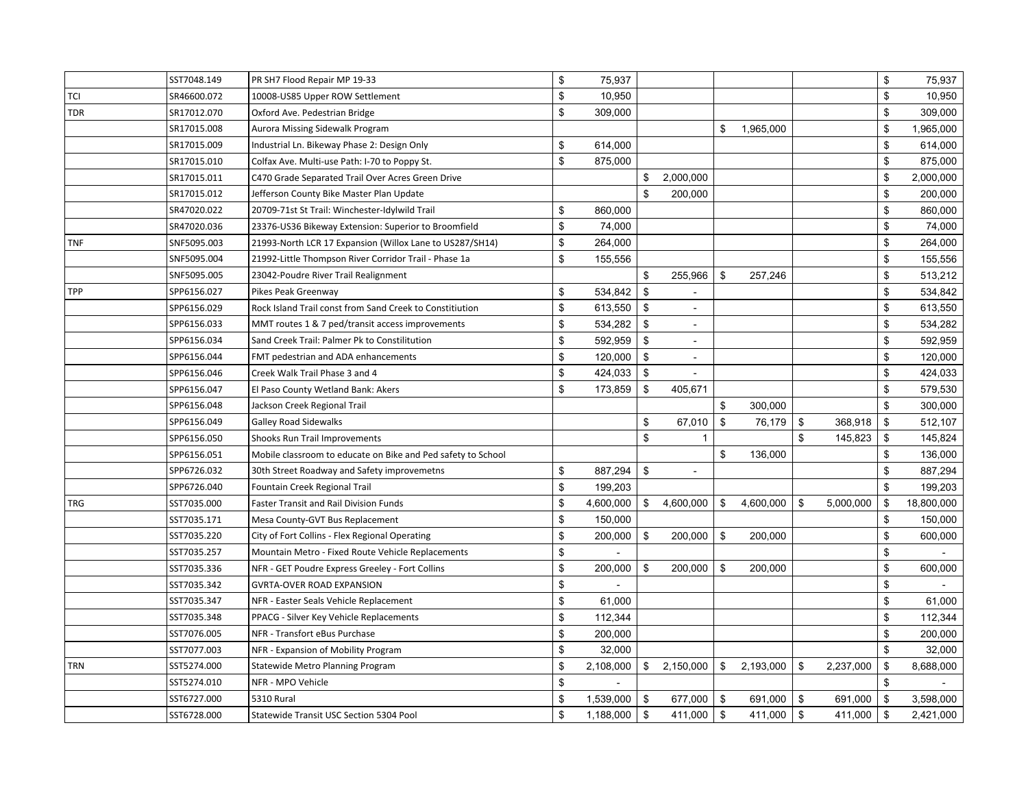|            | SST7048.149 | PR SH7 Flood Repair MP 19-33                                 | \$<br>75,937    |                      |                |           |      |           | \$<br>75,937     |
|------------|-------------|--------------------------------------------------------------|-----------------|----------------------|----------------|-----------|------|-----------|------------------|
| <b>TCI</b> | SR46600.072 | 10008-US85 Upper ROW Settlement                              | \$<br>10,950    |                      |                |           |      |           | \$<br>10,950     |
| <b>TDR</b> | SR17012.070 | Oxford Ave. Pedestrian Bridge                                | \$<br>309,000   |                      |                |           |      |           | \$<br>309,000    |
|            | SR17015.008 | Aurora Missing Sidewalk Program                              |                 |                      | \$             | 1,965,000 |      |           | \$<br>1,965,000  |
|            | SR17015.009 | Industrial Ln. Bikeway Phase 2: Design Only                  | \$<br>614,000   |                      |                |           |      |           | \$<br>614,000    |
|            | SR17015.010 | Colfax Ave. Multi-use Path: I-70 to Poppy St.                | \$<br>875,000   |                      |                |           |      |           | \$<br>875,000    |
|            | SR17015.011 | C470 Grade Separated Trail Over Acres Green Drive            |                 | \$<br>2,000,000      |                |           |      |           | \$<br>2,000,000  |
|            | SR17015.012 | Jefferson County Bike Master Plan Update                     |                 | \$<br>200,000        |                |           |      |           | \$<br>200,000    |
|            | SR47020.022 | 20709-71st St Trail: Winchester-Idylwild Trail               | \$<br>860,000   |                      |                |           |      |           | \$<br>860,000    |
|            | SR47020.036 | 23376-US36 Bikeway Extension: Superior to Broomfield         | \$<br>74,000    |                      |                |           |      |           | \$<br>74,000     |
| <b>TNF</b> | SNF5095.003 | 21993-North LCR 17 Expansion (Willox Lane to US287/SH14)     | \$<br>264,000   |                      |                |           |      |           | \$<br>264,000    |
|            | SNF5095.004 | 21992-Little Thompson River Corridor Trail - Phase 1a        | \$<br>155,556   |                      |                |           |      |           | \$<br>155,556    |
|            | SNF5095.005 | 23042-Poudre River Trail Realignment                         |                 | \$<br>255,966        | \$             | 257,246   |      |           | \$<br>513,212    |
| <b>TPP</b> | SPP6156.027 | Pikes Peak Greenway                                          | \$<br>534,842   | \$                   |                |           |      |           | \$<br>534,842    |
|            | SPP6156.029 | Rock Island Trail const from Sand Creek to Constitiution     | \$<br>613,550   | \$                   |                |           |      |           | \$<br>613,550    |
|            | SPP6156.033 | MMT routes 1 & 7 ped/transit access improvements             | \$<br>534,282   | \$<br>$\sim$         |                |           |      |           | \$<br>534,282    |
|            | SPP6156.034 | Sand Creek Trail: Palmer Pk to Constilitution                | \$<br>592,959   | \$<br>$\sim$         |                |           |      |           | \$<br>592,959    |
|            | SPP6156.044 | FMT pedestrian and ADA enhancements                          | \$<br>120,000   | \$                   |                |           |      |           | \$<br>120,000    |
|            | SPP6156.046 | Creek Walk Trail Phase 3 and 4                               | \$<br>424,033   | \$<br>$\sim$         |                |           |      |           | \$<br>424,033    |
|            | SPP6156.047 | El Paso County Wetland Bank: Akers                           | \$<br>173,859   | \$<br>405,671        |                |           |      |           | \$<br>579,530    |
|            | SPP6156.048 | Jackson Creek Regional Trail                                 |                 |                      | $\mathfrak{s}$ | 300,000   |      |           | \$<br>300,000    |
|            | SPP6156.049 | <b>Galley Road Sidewalks</b>                                 |                 | \$<br>67,010         | $\mathfrak{s}$ | 76,179    | \$   | 368,918   | \$<br>512,107    |
|            | SPP6156.050 | Shooks Run Trail Improvements                                |                 | \$<br>$\mathbf{1}$   |                |           | \$   | 145,823   | \$<br>145,824    |
|            | SPP6156.051 | Mobile classroom to educate on Bike and Ped safety to School |                 |                      | \$             | 136,000   |      |           | \$<br>136,000    |
|            | SPP6726.032 | 30th Street Roadway and Safety improvemetns                  | \$<br>887,294   | \$<br>$\blacksquare$ |                |           |      |           | \$<br>887,294    |
|            | SPP6726.040 | Fountain Creek Regional Trail                                | \$<br>199,203   |                      |                |           |      |           | \$<br>199,203    |
| <b>TRG</b> | SST7035.000 | Faster Transit and Rail Division Funds                       | \$<br>4,600,000 | \$<br>4,600,000      | \$             | 4,600,000 | \$   | 5,000,000 | \$<br>18,800,000 |
|            | SST7035.171 | Mesa County-GVT Bus Replacement                              | \$<br>150,000   |                      |                |           |      |           | \$<br>150,000    |
|            | SST7035.220 | City of Fort Collins - Flex Regional Operating               | \$<br>200,000   | \$<br>200,000        | \$             | 200,000   |      |           | \$<br>600,000    |
|            | SST7035.257 | Mountain Metro - Fixed Route Vehicle Replacements            | \$              |                      |                |           |      |           | \$               |
|            | SST7035.336 | NFR - GET Poudre Express Greeley - Fort Collins              | \$<br>200,000   | \$<br>200,000        | \$             | 200,000   |      |           | \$<br>600,000    |
|            | SST7035.342 | <b>GVRTA-OVER ROAD EXPANSION</b>                             | \$              |                      |                |           |      |           | \$               |
|            | SST7035.347 | NFR - Easter Seals Vehicle Replacement                       | \$<br>61,000    |                      |                |           |      |           | \$<br>61,000     |
|            | SST7035.348 | PPACG - Silver Key Vehicle Replacements                      | \$<br>112,344   |                      |                |           |      |           | \$<br>112,344    |
|            | SST7076.005 | NFR - Transfort eBus Purchase                                | \$<br>200,000   |                      |                |           |      |           | \$<br>200,000    |
|            | SST7077.003 | NFR - Expansion of Mobility Program                          | \$<br>32,000    |                      |                |           |      |           | \$<br>32,000     |
| <b>TRN</b> | SST5274.000 | Statewide Metro Planning Program                             | \$<br>2,108,000 | \$<br>2,150,000      | \$             | 2,193,000 | \$   | 2,237,000 | \$<br>8,688,000  |
|            | SST5274.010 | NFR - MPO Vehicle                                            | \$              |                      |                |           |      |           | \$               |
|            | SST6727.000 | <b>5310 Rural</b>                                            | \$<br>1,539,000 | \$<br>677,000        | \$             | 691,000   | \$   | 691,000   | \$<br>3,598,000  |
|            | SST6728.000 | Statewide Transit USC Section 5304 Pool                      | \$<br>1,188,000 | \$<br>411,000        | \$             | 411,000   | $\,$ | 411,000   | \$<br>2,421,000  |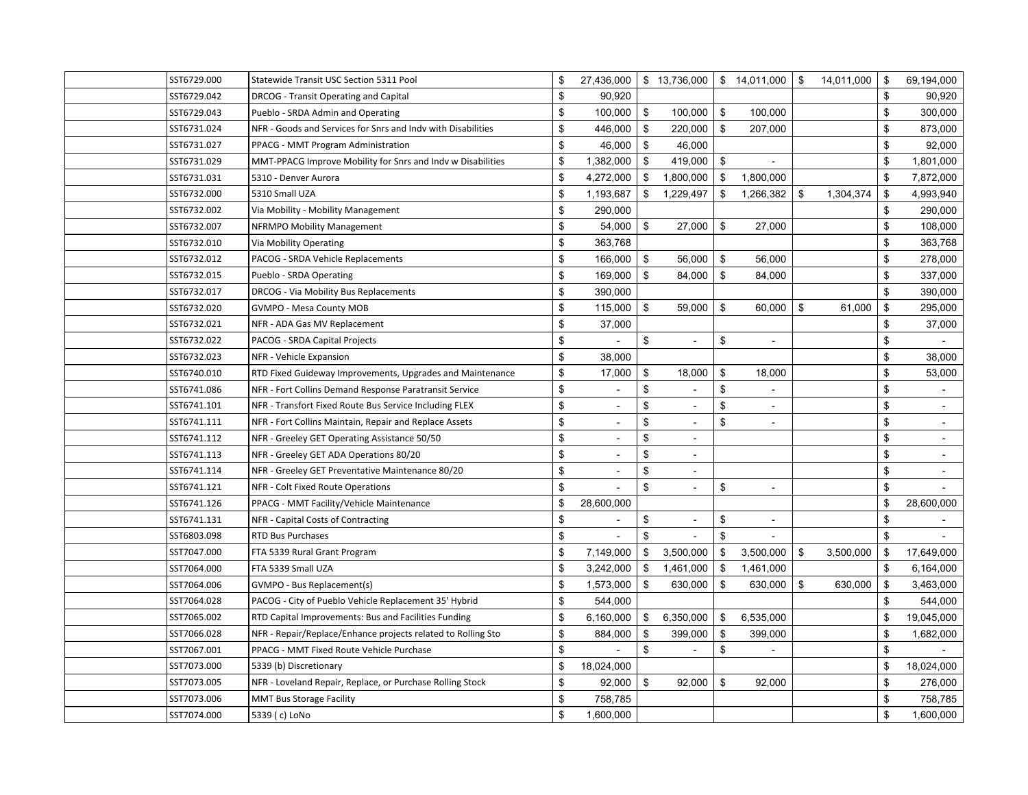| SST6729.000 | Statewide Transit USC Section 5311 Pool                      | \$<br>27,436,000     | $\frac{1}{2}$ 13,736,000 \ \$ 14,011,000 \ \$ |                |                          | 14,011,000      | \$             | 69,194,000     |
|-------------|--------------------------------------------------------------|----------------------|-----------------------------------------------|----------------|--------------------------|-----------------|----------------|----------------|
| SST6729.042 | DRCOG - Transit Operating and Capital                        | \$<br>90,920         |                                               |                |                          |                 | \$             | 90,920         |
| SST6729.043 | Pueblo - SRDA Admin and Operating                            | \$<br>100,000        | \$<br>100,000                                 | \$             | 100,000                  |                 | \$             | 300,000        |
| SST6731.024 | NFR - Goods and Services for Snrs and Indv with Disabilities | \$<br>446,000        | \$<br>220,000                                 | \$             | 207,000                  |                 | \$             | 873,000        |
| SST6731.027 | PPACG - MMT Program Administration                           | \$<br>46,000         | \$<br>46,000                                  |                |                          |                 | \$             | 92,000         |
| SST6731.029 | MMT-PPACG Improve Mobility for Snrs and Indv w Disabilities  | \$<br>1,382,000      | \$<br>419,000                                 | \$             |                          |                 | $\mathfrak{s}$ | 1,801,000      |
| SST6731.031 | 5310 - Denver Aurora                                         | \$<br>4,272,000      | \$<br>1,800,000                               | \$             | 1,800,000                |                 | \$             | 7,872,000      |
| SST6732.000 | 5310 Small UZA                                               | \$<br>1,193,687      | \$<br>1,229,497                               | \$             | 1,266,382                | \$<br>1,304,374 | \$             | 4,993,940      |
| SST6732.002 | Via Mobility - Mobility Management                           | \$<br>290,000        |                                               |                |                          |                 | \$             | 290,000        |
| SST6732.007 | NFRMPO Mobility Management                                   | \$<br>54,000         | \$<br>27,000                                  | \$             | 27,000                   |                 | \$             | 108,000        |
| SST6732.010 | Via Mobility Operating                                       | \$<br>363,768        |                                               |                |                          |                 | $\mathfrak{s}$ | 363,768        |
| SST6732.012 | PACOG - SRDA Vehicle Replacements                            | \$<br>166,000        | \$<br>56,000                                  | \$             | 56,000                   |                 | \$             | 278,000        |
| SST6732.015 | Pueblo - SRDA Operating                                      | \$<br>169,000        | \$<br>84,000                                  | \$             | 84,000                   |                 | \$             | 337,000        |
| SST6732.017 | DRCOG - Via Mobility Bus Replacements                        | \$<br>390,000        |                                               |                |                          |                 | \$             | 390,000        |
| SST6732.020 | GVMPO - Mesa County MOB                                      | \$<br>115,000        | \$<br>59,000                                  | \$             | 60,000                   | \$<br>61,000    | \$             | 295,000        |
| SST6732.021 | NFR - ADA Gas MV Replacement                                 | \$<br>37,000         |                                               |                |                          |                 | \$             | 37,000         |
| SST6732.022 | PACOG - SRDA Capital Projects                                | \$                   | \$                                            | \$             |                          |                 | \$             |                |
| SST6732.023 | NFR - Vehicle Expansion                                      | \$<br>38,000         |                                               |                |                          |                 | \$             | 38,000         |
| SST6740.010 | RTD Fixed Guideway Improvements, Upgrades and Maintenance    | \$<br>17,000         | \$<br>18,000                                  | $\mathfrak{S}$ | 18,000                   |                 | \$             | 53,000         |
| SST6741.086 | NFR - Fort Collins Demand Response Paratransit Service       | \$<br>$\sim$         | \$<br>$\sim$                                  | \$             | $\sim$                   |                 | \$             | $\blacksquare$ |
| SST6741.101 | NFR - Transfort Fixed Route Bus Service Including FLEX       | \$                   | \$                                            | $\mathfrak{S}$ |                          |                 | \$             |                |
| SST6741.111 | NFR - Fort Collins Maintain, Repair and Replace Assets       | \$<br>$\sim$         | \$                                            | \$             | $\overline{\phantom{a}}$ |                 | \$             |                |
| SST6741.112 | NFR - Greeley GET Operating Assistance 50/50                 | \$<br>$\blacksquare$ | \$<br>$\sim$                                  |                |                          |                 | \$             | $\sim$         |
| SST6741.113 | NFR - Greeley GET ADA Operations 80/20                       | \$                   | \$<br>$\sim$                                  |                |                          |                 | \$             |                |
| SST6741.114 | NFR - Greeley GET Preventative Maintenance 80/20             | \$                   | \$                                            |                |                          |                 | \$             |                |
| SST6741.121 | NFR - Colt Fixed Route Operations                            | \$                   | \$<br>$\overline{a}$                          | \$             | $\overline{a}$           |                 | \$             |                |
| SST6741.126 | PPACG - MMT Facility/Vehicle Maintenance                     | \$<br>28,600,000     |                                               |                |                          |                 | \$             | 28,600,000     |
| SST6741.131 | NFR - Capital Costs of Contracting                           | \$                   | \$<br>$\overline{\phantom{a}}$                | \$             | $\overline{\phantom{a}}$ |                 | \$             |                |
| SST6803.098 | <b>RTD Bus Purchases</b>                                     | \$                   | \$                                            | \$             |                          |                 | \$             |                |
| SST7047.000 | FTA 5339 Rural Grant Program                                 | \$<br>7,149,000      | \$<br>3,500,000                               | \$             | 3,500,000                | \$<br>3,500,000 | \$             | 17,649,000     |
| SST7064.000 | FTA 5339 Small UZA                                           | \$<br>3,242,000      | \$<br>1,461,000                               | \$             | 1,461,000                |                 | \$             | 6,164,000      |
| SST7064.006 | GVMPO - Bus Replacement(s)                                   | \$<br>1,573,000      | \$<br>630,000                                 | \$             | 630,000                  | \$<br>630,000   | \$             | 3,463,000      |
| SST7064.028 | PACOG - City of Pueblo Vehicle Replacement 35' Hybrid        | \$<br>544,000        |                                               |                |                          |                 | \$             | 544,000        |
| SST7065.002 | RTD Capital Improvements: Bus and Facilities Funding         | \$<br>6,160,000      | \$<br>6,350,000                               | \$             | 6,535,000                |                 | \$             | 19,045,000     |
| SST7066.028 | NFR - Repair/Replace/Enhance projects related to Rolling Sto | \$<br>884,000        | \$<br>399,000                                 | \$             | 399,000                  |                 | \$             | 1,682,000      |
| SST7067.001 | PPACG - MMT Fixed Route Vehicle Purchase                     | \$                   | \$                                            | \$             |                          |                 | \$             |                |
| SST7073.000 | 5339 (b) Discretionary                                       | \$<br>18,024,000     |                                               |                |                          |                 | \$             | 18,024,000     |
| SST7073.005 | NFR - Loveland Repair, Replace, or Purchase Rolling Stock    | \$<br>92,000         | \$<br>92,000                                  | \$             | 92,000                   |                 | \$             | 276,000        |
| SST7073.006 | MMT Bus Storage Facility                                     | \$<br>758,785        |                                               |                |                          |                 | $\mathfrak{s}$ | 758,785        |
| SST7074.000 | 5339 (c) LoNo                                                | \$<br>1,600,000      |                                               |                |                          |                 | \$             | 1,600,000      |